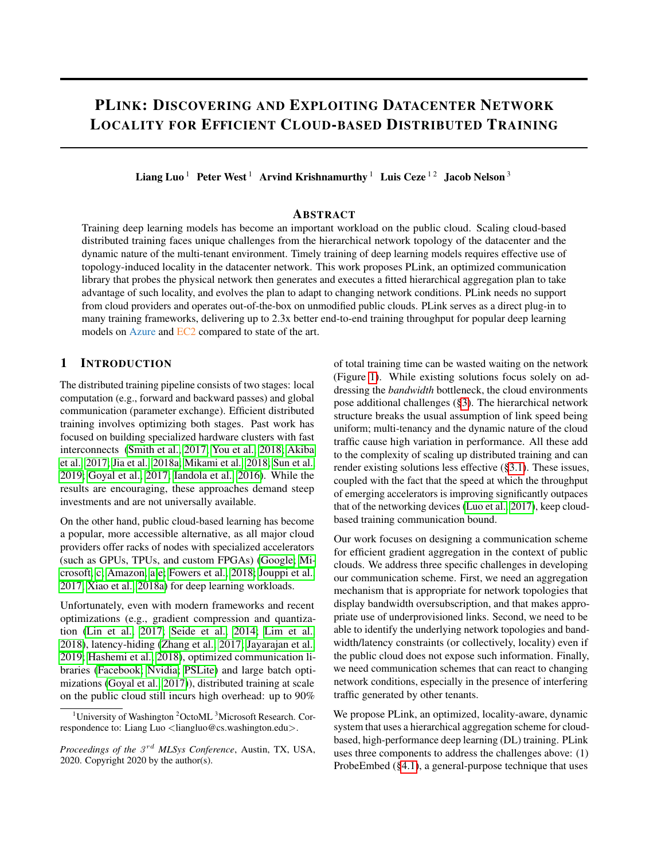# PLINK: DISCOVERING AND EXPLOITING DATACENTER NETWORK LOCALITY FOR EFFICIENT CLOUD-BASED DISTRIBUTED TRAINING

Liang Luo<sup>1</sup> Peter West<sup>1</sup> Arvind Krishnamurthy<sup>1</sup> Luis Ceze<sup>12</sup> Jacob Nelson<sup>3</sup>

### **ABSTRACT**

Training deep learning models has become an important workload on the public cloud. Scaling cloud-based distributed training faces unique challenges from the hierarchical network topology of the datacenter and the dynamic nature of the multi-tenant environment. Timely training of deep learning models requires effective use of topology-induced locality in the datacenter network. This work proposes PLink, an optimized communication library that probes the physical network then generates and executes a fitted hierarchical aggregation plan to take advantage of such locality, and evolves the plan to adapt to changing network conditions. PLink needs no support from cloud providers and operates out-of-the-box on unmodified public clouds. PLink serves as a direct plug-in to many training frameworks, delivering up to 2.3x better end-to-end training throughput for popular deep learning models on Azure and EC2 compared to state of the art.

### 1 INTRODUCTION

The distributed training pipeline consists of two stages: local computation (e.g., forward and backward passes) and global communication (parameter exchange). Efficient distributed training involves optimizing both stages. Past work has focused on building specialized hardware clusters with fast interconnects [\(Smith et al., 2017;](#page-14-0) [You et al., 2018;](#page-15-0) [Akiba](#page-10-0) [et al., 2017;](#page-10-0) [Jia et al., 2018a;](#page-12-0) [Mikami et al., 2018;](#page-13-0) [Sun et al.,](#page-14-1) [2019;](#page-14-1) [Goyal et al., 2017;](#page-11-0) [Iandola et al., 2016\)](#page-12-1). While the results are encouraging, these approaches demand steep investments and are not universally available.

On the other hand, public cloud-based learning has become a popular, more accessible alternative, as all major cloud providers offer racks of nodes with specialized accelerators (such as GPUs, TPUs, and custom FPGAs) [\(Google;](#page-11-1) [Mi](#page-13-1)[crosoft, c;](#page-13-1) [Amazon, a;](#page-10-1)[e;](#page-10-2) [Fowers et al., 2018;](#page-11-2) [Jouppi et al.,](#page-12-2) [2017;](#page-12-2) [Xiao et al., 2018a\)](#page-14-2) for deep learning workloads.

Unfortunately, even with modern frameworks and recent optimizations (e.g., gradient compression and quantization [\(Lin et al., 2017;](#page-13-2) [Seide et al., 2014;](#page-14-3) [Lim et al.,](#page-13-3) [2018\)](#page-13-3), latency-hiding [\(Zhang et al., 2017;](#page-15-1) [Jayarajan et al.,](#page-12-3) [2019;](#page-12-3) [Hashemi et al., 2018\)](#page-11-3), optimized communication libraries [\(Facebook;](#page-11-4) [Nvidia;](#page-13-4) [PSLite\)](#page-13-5) and large batch optimizations [\(Goyal et al., 2017\)](#page-11-0)), distributed training at scale on the public cloud still incurs high overhead: up to 90% of total training time can be wasted waiting on the network (Figure [1\)](#page-1-0). While existing solutions focus solely on addressing the *bandwidth* bottleneck, the cloud environments pose additional challenges ([§3\)](#page-1-1). The hierarchical network structure breaks the usual assumption of link speed being uniform; multi-tenancy and the dynamic nature of the cloud traffic cause high variation in performance. All these add to the complexity of scaling up distributed training and can render existing solutions less effective ([§3.1\)](#page-2-0). These issues, coupled with the fact that the speed at which the throughput of emerging accelerators is improving significantly outpaces that of the networking devices [\(Luo et al., 2017\)](#page-13-6), keep cloudbased training communication bound.

Our work focuses on designing a communication scheme for efficient gradient aggregation in the context of public clouds. We address three specific challenges in developing our communication scheme. First, we need an aggregation mechanism that is appropriate for network topologies that display bandwidth oversubscription, and that makes appropriate use of underprovisioned links. Second, we need to be able to identify the underlying network topologies and bandwidth/latency constraints (or collectively, locality) even if the public cloud does not expose such information. Finally, we need communication schemes that can react to changing network conditions, especially in the presence of interfering traffic generated by other tenants.

We propose PLink, an optimized, locality-aware, dynamic system that uses a hierarchical aggregation scheme for cloudbased, high-performance deep learning (DL) training. PLink uses three components to address the challenges above: (1) ProbeEmbed ([§4.1\)](#page-3-0), a general-purpose technique that uses

<sup>&</sup>lt;sup>1</sup>University of Washington <sup>2</sup>OctoML <sup>3</sup>Microsoft Research. Correspondence to: Liang Luo <liangluo@cs.washington.edu>.

Proceedings of the  $3^{rd}$  MLSys Conference, Austin, TX, USA, 2020. Copyright 2020 by the author(s).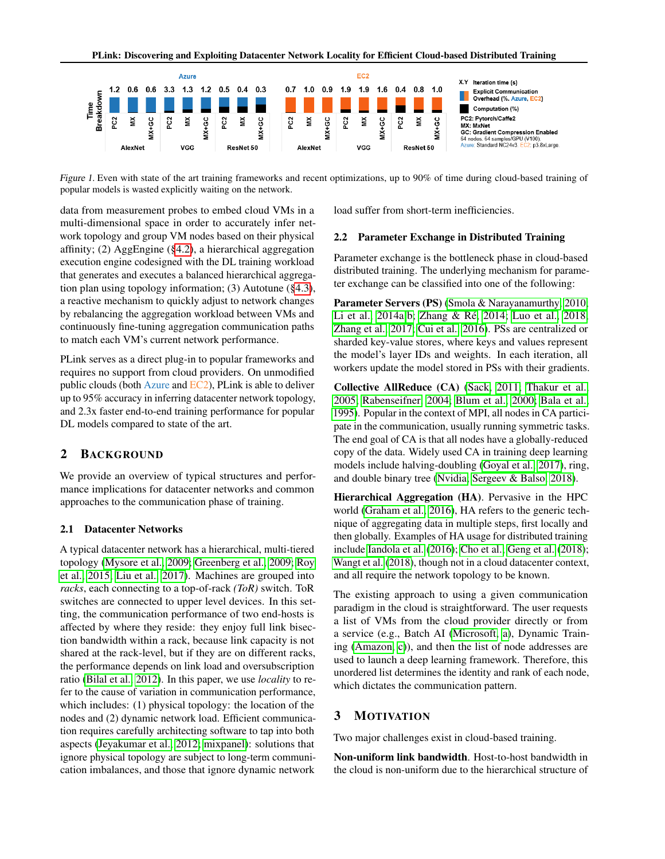<span id="page-1-0"></span>

Figure 1. Even with state of the art training frameworks and recent optimizations, up to 90% of time during cloud-based training of popular models is wasted explicitly waiting on the network.

data from measurement probes to embed cloud VMs in a multi-dimensional space in order to accurately infer network topology and group VM nodes based on their physical affinity; (2) AggEngine ([§4.2\)](#page-4-0), a hierarchical aggregation execution engine codesigned with the DL training workload that generates and executes a balanced hierarchical aggregation plan using topology information; (3) Autotune ([§4.3\)](#page-5-0), a reactive mechanism to quickly adjust to network changes by rebalancing the aggregation workload between VMs and continuously fine-tuning aggregation communication paths to match each VM's current network performance.

PLink serves as a direct plug-in to popular frameworks and requires no support from cloud providers. On unmodified public clouds (both Azure and EC2), PLink is able to deliver up to 95% accuracy in inferring datacenter network topology, and 2.3x faster end-to-end training performance for popular DL models compared to state of the art.

### 2 BACKGROUND

We provide an overview of typical structures and performance implications for datacenter networks and common approaches to the communication phase of training.

#### <span id="page-1-2"></span>2.1 Datacenter Networks

A typical datacenter network has a hierarchical, multi-tiered topology [\(Mysore et al., 2009;](#page-13-7) [Greenberg et al., 2009;](#page-11-5) [Roy](#page-14-4) [et al., 2015;](#page-14-4) [Liu et al., 2017\)](#page-13-8). Machines are grouped into *racks*, each connecting to a top-of-rack *(ToR)* switch. ToR switches are connected to upper level devices. In this setting, the communication performance of two end-hosts is affected by where they reside: they enjoy full link bisection bandwidth within a rack, because link capacity is not shared at the rack-level, but if they are on different racks, the performance depends on link load and oversubscription ratio [\(Bilal et al., 2012\)](#page-10-3). In this paper, we use *locality* to refer to the cause of variation in communication performance, which includes: (1) physical topology: the location of the nodes and (2) dynamic network load. Efficient communication requires carefully architecting software to tap into both aspects [\(Jeyakumar et al., 2012;](#page-12-4) [mixpanel\)](#page-13-9): solutions that ignore physical topology are subject to long-term communication imbalances, and those that ignore dynamic network

load suffer from short-term inefficiencies.

#### 2.2 Parameter Exchange in Distributed Training

Parameter exchange is the bottleneck phase in cloud-based distributed training. The underlying mechanism for parameter exchange can be classified into one of the following:

Parameter Servers (PS) [\(Smola & Narayanamurthy, 2010;](#page-14-5) [Li et al., 2014a;](#page-12-5)[b;](#page-12-6) Zhang & Ré, 2014; [Luo et al., 2018;](#page-13-10) [Zhang et al., 2017;](#page-15-1) [Cui et al., 2016\)](#page-11-6). PSs are centralized or sharded key-value stores, where keys and values represent the model's layer IDs and weights. In each iteration, all workers update the model stored in PSs with their gradients.

Collective AllReduce (CA) [\(Sack, 2011;](#page-14-6) [Thakur et al.,](#page-14-7) [2005;](#page-14-7) [Rabenseifner, 2004;](#page-13-11) [Blum et al., 2000;](#page-10-4) [Bala et al.,](#page-10-5) [1995\)](#page-10-5). Popular in the context of MPI, all nodes in CA participate in the communication, usually running symmetric tasks. The end goal of CA is that all nodes have a globally-reduced copy of the data. Widely used CA in training deep learning models include halving-doubling [\(Goyal et al., 2017\)](#page-11-0), ring, and double binary tree [\(Nvidia;](#page-13-4) [Sergeev & Balso, 2018\)](#page-14-8).

Hierarchical Aggregation (HA). Pervasive in the HPC world [\(Graham et al., 2016\)](#page-11-7), HA refers to the generic technique of aggregating data in multiple steps, first locally and then globally. Examples of HA usage for distributed training include [Iandola et al.](#page-12-1) [\(2016\)](#page-12-1); [Cho et al.;](#page-11-8) [Geng et al.](#page-11-9) [\(2018\)](#page-11-9); [Wangt et al.](#page-14-9) [\(2018\)](#page-14-9), though not in a cloud datacenter context, and all require the network topology to be known.

The existing approach to using a given communication paradigm in the cloud is straightforward. The user requests a list of VMs from the cloud provider directly or from a service (e.g., Batch AI [\(Microsoft, a\)](#page-13-12), Dynamic Training [\(Amazon, c\)](#page-10-6)), and then the list of node addresses are used to launch a deep learning framework. Therefore, this unordered list determines the identity and rank of each node, which dictates the communication pattern.

### <span id="page-1-1"></span>3 MOTIVATION

Two major challenges exist in cloud-based training.

Non-uniform link bandwidth. Host-to-host bandwidth in the cloud is non-uniform due to the hierarchical structure of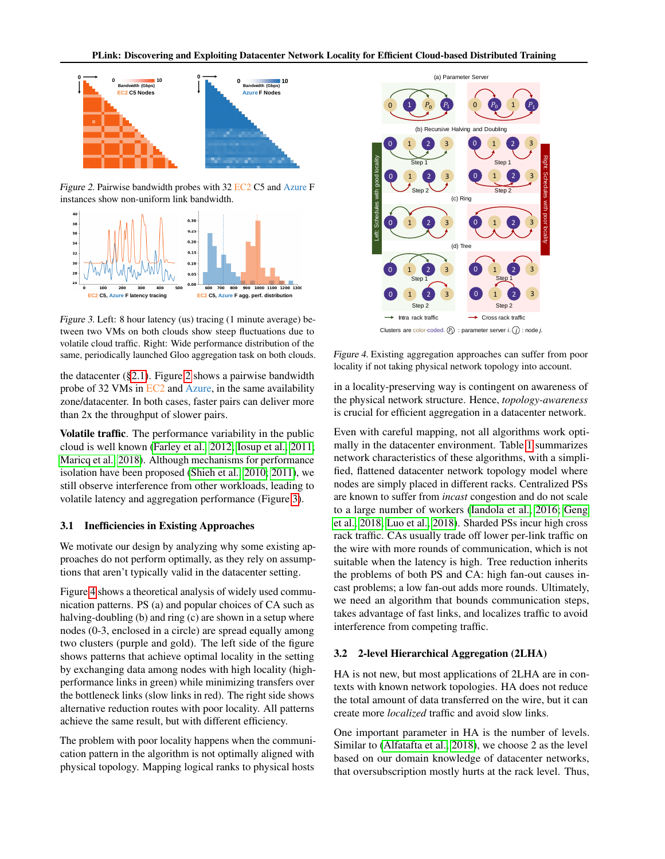<span id="page-2-1"></span>

Figure 2. Pairwise bandwidth probes with 32 EC2 C5 and Azure F instances show non-uniform link bandwidth.

<span id="page-2-2"></span>

Figure 3. Left: 8 hour latency (us) tracing (1 minute average) between two VMs on both clouds show steep fluctuations due to volatile cloud traffic. Right: Wide performance distribution of the same, periodically launched Gloo aggregation task on both clouds.

the datacenter ([§2.1\)](#page-1-2). Figure [2](#page-2-1) shows a pairwise bandwidth probe of 32 VMs in EC2 and Azure, in the same availability zone/datacenter. In both cases, faster pairs can deliver more than 2x the throughput of slower pairs.

Volatile traffic. The performance variability in the public cloud is well known [\(Farley et al., 2012;](#page-11-10) [Iosup et al., 2011;](#page-12-7) [Maricq et al., 2018\)](#page-13-13). Although mechanisms for performance isolation have been proposed [\(Shieh et al., 2010;](#page-14-10) [2011\)](#page-14-11), we still observe interference from other workloads, leading to volatile latency and aggregation performance (Figure [3\)](#page-2-2).

#### <span id="page-2-0"></span>3.1 Inefficiencies in Existing Approaches

We motivate our design by analyzing why some existing approaches do not perform optimally, as they rely on assumptions that aren't typically valid in the datacenter setting.

Figure [4](#page-2-3) shows a theoretical analysis of widely used communication patterns. PS (a) and popular choices of CA such as halving-doubling (b) and ring (c) are shown in a setup where nodes (0-3, enclosed in a circle) are spread equally among two clusters (purple and gold). The left side of the figure shows patterns that achieve optimal locality in the setting by exchanging data among nodes with high locality (highperformance links in green) while minimizing transfers over the bottleneck links (slow links in red). The right side shows alternative reduction routes with poor locality. All patterns achieve the same result, but with different efficiency.

The problem with poor locality happens when the communication pattern in the algorithm is not optimally aligned with physical topology. Mapping logical ranks to physical hosts

<span id="page-2-3"></span>

Figure 4. Existing aggregation approaches can suffer from poor locality if not taking physical network topology into account.

in a locality-preserving way is contingent on awareness of the physical network structure. Hence, *topology-awareness* is crucial for efficient aggregation in a datacenter network.

Even with careful mapping, not all algorithms work optimally in the datacenter environment. Table [1](#page-3-1) summarizes network characteristics of these algorithms, with a simplified, flattened datacenter network topology model where nodes are simply placed in different racks. Centralized PSs are known to suffer from *incast* congestion and do not scale to a large number of workers [\(Iandola et al., 2016;](#page-12-1) [Geng](#page-11-9) [et al., 2018;](#page-11-9) [Luo et al., 2018\)](#page-13-10). Sharded PSs incur high cross rack traffic. CAs usually trade off lower per-link traffic on the wire with more rounds of communication, which is not suitable when the latency is high. Tree reduction inherits the problems of both PS and CA: high fan-out causes incast problems; a low fan-out adds more rounds. Ultimately, we need an algorithm that bounds communication steps, takes advantage of fast links, and localizes traffic to avoid interference from competing traffic.

### <span id="page-2-4"></span>3.2 2-level Hierarchical Aggregation (2LHA)

HA is not new, but most applications of 2LHA are in contexts with known network topologies. HA does not reduce the total amount of data transferred on the wire, but it can create more *localized* traffic and avoid slow links.

One important parameter in HA is the number of levels. Similar to [\(Alfatafta et al., 2018\)](#page-10-7), we choose 2 as the level based on our domain knowledge of datacenter networks, that oversubscription mostly hurts at the rack level. Thus,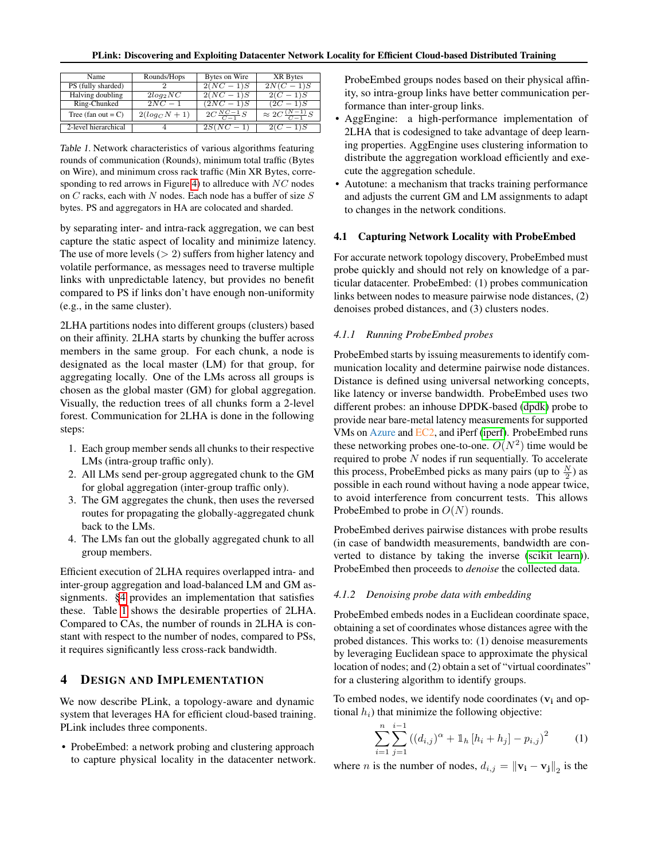<span id="page-3-1"></span>

|  | Name                  | Rounds/Hops      | Bytes on Wire         | XR Bytes                        |  |  |
|--|-----------------------|------------------|-----------------------|---------------------------------|--|--|
|  | PS (fully sharded)    |                  | $2(NC-1)S$            | $2N(C-1)S$                      |  |  |
|  | Halving doubling      | $2log_2NC$       | $2(NC-1)S$            | $2(C-1)S$                       |  |  |
|  | Ring-Chunked          | $2NC-1$          | $(2NC-1)S$            | $(2C - 1)S$                     |  |  |
|  | Tree (fan out $= C$ ) | $2(log_C N + 1)$ | $2C\frac{NC-1}{C-1}S$ | $\approx 2C \frac{(N-1)}{G-1}S$ |  |  |
|  |                       |                  |                       |                                 |  |  |
|  | 2-level hierarchical  |                  | $2S(\overline{NC})$   | $1)$ $S$<br>2(C)                |  |  |

Table 1. Network characteristics of various algorithms featuring rounds of communication (Rounds), minimum total traffic (Bytes on Wire), and minimum cross rack traffic (Min XR Bytes, corre-sponding to red arrows in Figure [4\)](#page-2-3) to allreduce with  $NC$  nodes on  $C$  racks, each with  $N$  nodes. Each node has a buffer of size  $S$ bytes. PS and aggregators in HA are colocated and sharded.

by separating inter- and intra-rack aggregation, we can best capture the static aspect of locality and minimize latency. The use of more levels  $(> 2)$  suffers from higher latency and volatile performance, as messages need to traverse multiple links with unpredictable latency, but provides no benefit compared to PS if links don't have enough non-uniformity (e.g., in the same cluster).

2LHA partitions nodes into different groups (clusters) based on their affinity. 2LHA starts by chunking the buffer across members in the same group. For each chunk, a node is designated as the local master (LM) for that group, for aggregating locally. One of the LMs across all groups is chosen as the global master (GM) for global aggregation. Visually, the reduction trees of all chunks form a 2-level forest. Communication for 2LHA is done in the following steps:

- 1. Each group member sends all chunks to their respective LMs (intra-group traffic only).
- 2. All LMs send per-group aggregated chunk to the GM for global aggregation (inter-group traffic only).
- 3. The GM aggregates the chunk, then uses the reversed routes for propagating the globally-aggregated chunk back to the LMs.
- 4. The LMs fan out the globally aggregated chunk to all group members.

Efficient execution of 2LHA requires overlapped intra- and inter-group aggregation and load-balanced LM and GM assignments. [§4](#page-3-2) provides an implementation that satisfies these. Table [1](#page-3-1) shows the desirable properties of 2LHA. Compared to CAs, the number of rounds in 2LHA is constant with respect to the number of nodes, compared to PSs, it requires significantly less cross-rack bandwidth.

### <span id="page-3-2"></span>4 DESIGN AND IMPLEMENTATION

We now describe PLink, a topology-aware and dynamic system that leverages HA for efficient cloud-based training. PLink includes three components.

• ProbeEmbed: a network probing and clustering approach to capture physical locality in the datacenter network. ProbeEmbed groups nodes based on their physical affinity, so intra-group links have better communication performance than inter-group links.

- AggEngine: a high-performance implementation of 2LHA that is codesigned to take advantage of deep learning properties. AggEngine uses clustering information to distribute the aggregation workload efficiently and execute the aggregation schedule.
- Autotune: a mechanism that tracks training performance and adjusts the current GM and LM assignments to adapt to changes in the network conditions.

#### <span id="page-3-0"></span>4.1 Capturing Network Locality with ProbeEmbed

For accurate network topology discovery, ProbeEmbed must probe quickly and should not rely on knowledge of a particular datacenter. ProbeEmbed: (1) probes communication links between nodes to measure pairwise node distances, (2) denoises probed distances, and (3) clusters nodes.

### *4.1.1 Running ProbeEmbed probes*

ProbeEmbed starts by issuing measurements to identify communication locality and determine pairwise node distances. Distance is defined using universal networking concepts, like latency or inverse bandwidth. ProbeEmbed uses two different probes: an inhouse DPDK-based [\(dpdk\)](#page-11-11) probe to provide near bare-metal latency measurements for supported VMs on Azure and EC2, and iPerf [\(iperf\)](#page-12-8). ProbeEmbed runs these networking probes one-to-one.  $O(N^2)$  time would be required to probe  $N$  nodes if run sequentially. To accelerate this process, ProbeEmbed picks as many pairs (up to  $\frac{N}{2}$ ) as possible in each round without having a node appear twice, to avoid interference from concurrent tests. This allows ProbeEmbed to probe in  $O(N)$  rounds.

ProbeEmbed derives pairwise distances with probe results (in case of bandwidth measurements, bandwidth are converted to distance by taking the inverse [\(scikit learn\)](#page-14-12)). ProbeEmbed then proceeds to *denoise* the collected data.

#### *4.1.2 Denoising probe data with embedding*

ProbeEmbed embeds nodes in a Euclidean coordinate space, obtaining a set of coordinates whose distances agree with the probed distances. This works to: (1) denoise measurements by leveraging Euclidean space to approximate the physical location of nodes; and (2) obtain a set of "virtual coordinates" for a clustering algorithm to identify groups.

To embed nodes, we identify node coordinates  $(v_i$  and optional  $h_i$ ) that minimize the following objective:

$$
\sum_{i=1}^{n} \sum_{j=1}^{i-1} ((d_{i,j})^{\alpha} + \mathbb{1}_{h} [h_{i} + h_{j}] - p_{i,j})^{2}
$$
 (1)

where *n* is the number of nodes,  $d_{i,j} = ||\mathbf{v_i} - \mathbf{v_j}||_2$  is the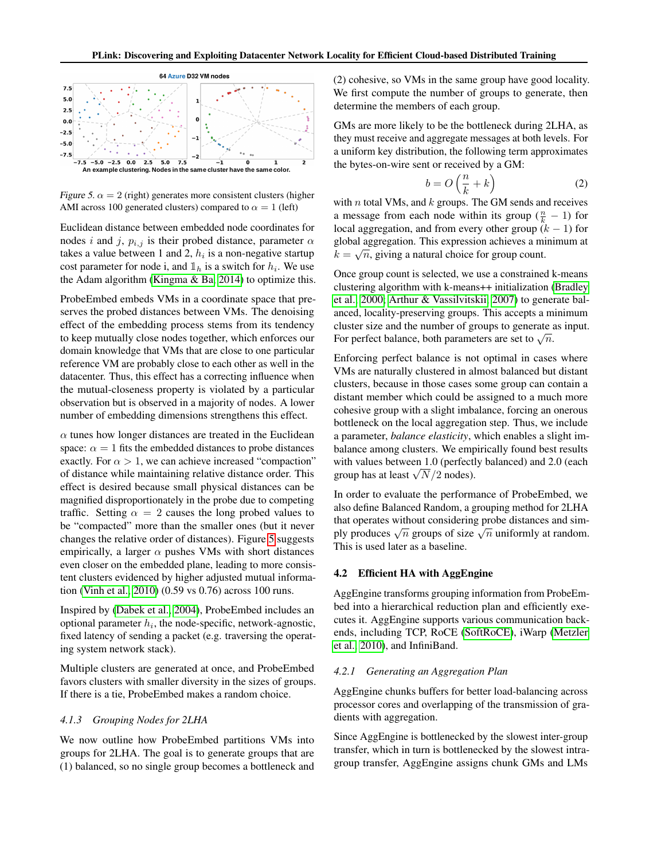<span id="page-4-1"></span>

Figure 5.  $\alpha = 2$  (right) generates more consistent clusters (higher AMI across 100 generated clusters) compared to  $\alpha = 1$  (left)

Euclidean distance between embedded node coordinates for nodes i and j,  $p_{i,j}$  is their probed distance, parameter  $\alpha$ takes a value between 1 and 2,  $h_i$  is a non-negative startup cost parameter for node i, and  $\mathbb{1}_h$  is a switch for  $h_i$ . We use the Adam algorithm [\(Kingma & Ba, 2014\)](#page-12-9) to optimize this.

ProbeEmbed embeds VMs in a coordinate space that preserves the probed distances between VMs. The denoising effect of the embedding process stems from its tendency to keep mutually close nodes together, which enforces our domain knowledge that VMs that are close to one particular reference VM are probably close to each other as well in the datacenter. Thus, this effect has a correcting influence when the mutual-closeness property is violated by a particular observation but is observed in a majority of nodes. A lower number of embedding dimensions strengthens this effect.

 $\alpha$  tunes how longer distances are treated in the Euclidean space:  $\alpha = 1$  fits the embedded distances to probe distances exactly. For  $\alpha > 1$ , we can achieve increased "compaction" of distance while maintaining relative distance order. This effect is desired because small physical distances can be magnified disproportionately in the probe due to competing traffic. Setting  $\alpha = 2$  causes the long probed values to be "compacted" more than the smaller ones (but it never changes the relative order of distances). Figure [5](#page-4-1) suggests empirically, a larger  $\alpha$  pushes VMs with short distances even closer on the embedded plane, leading to more consistent clusters evidenced by higher adjusted mutual information [\(Vinh et al., 2010\)](#page-14-13) (0.59 vs 0.76) across 100 runs.

Inspired by [\(Dabek et al., 2004\)](#page-11-12), ProbeEmbed includes an optional parameter  $h_i$ , the node-specific, network-agnostic, fixed latency of sending a packet (e.g. traversing the operating system network stack).

Multiple clusters are generated at once, and ProbeEmbed favors clusters with smaller diversity in the sizes of groups. If there is a tie, ProbeEmbed makes a random choice.

### *4.1.3 Grouping Nodes for 2LHA*

We now outline how ProbeEmbed partitions VMs into groups for 2LHA. The goal is to generate groups that are (1) balanced, so no single group becomes a bottleneck and

(2) cohesive, so VMs in the same group have good locality. We first compute the number of groups to generate, then determine the members of each group.

GMs are more likely to be the bottleneck during 2LHA, as they must receive and aggregate messages at both levels. For a uniform key distribution, the following term approximates the bytes-on-wire sent or received by a GM:

$$
b = O\left(\frac{n}{k} + k\right) \tag{2}
$$

with  $n$  total VMs, and  $k$  groups. The GM sends and receives a message from each node within its group  $(\frac{n}{k} - 1)$  for local aggregation, and from every other group  $(k - 1)$  for global aggregation. This expression achieves a minimum at √  $k = \sqrt{n}$ , giving a natural choice for group count.

Once group count is selected, we use a constrained k-means clustering algorithm with k-means++ initialization [\(Bradley](#page-10-8) [et al., 2000;](#page-10-8) [Arthur & Vassilvitskii, 2007\)](#page-10-9) to generate balanced, locality-preserving groups. This accepts a minimum cluster size and the number of groups to generate as input. For perfect balance, both parameters are set to  $\sqrt{n}$ .

Enforcing perfect balance is not optimal in cases where VMs are naturally clustered in almost balanced but distant clusters, because in those cases some group can contain a distant member which could be assigned to a much more cohesive group with a slight imbalance, forcing an onerous bottleneck on the local aggregation step. Thus, we include a parameter, *balance elasticity*, which enables a slight imbalance among clusters. We empirically found best results with values between 1.0 (perfectly balanced) and 2.0 (each with values between 1.0 (perfection-<br>group has at least  $\sqrt{N}/2$  nodes).

In order to evaluate the performance of ProbeEmbed, we also define Balanced Random, a grouping method for 2LHA that operates without considering probe distances and simand operates without considering probe distances and simply produces  $\sqrt{n}$  groups of size  $\sqrt{n}$  uniformly at random. This is used later as a baseline.

### <span id="page-4-0"></span>4.2 Efficient HA with AggEngine

AggEngine transforms grouping information from ProbeEmbed into a hierarchical reduction plan and efficiently executes it. AggEngine supports various communication backends, including TCP, RoCE [\(SoftRoCE\)](#page-14-14), iWarp [\(Metzler](#page-13-14) [et al., 2010\)](#page-13-14), and InfiniBand.

#### *4.2.1 Generating an Aggregation Plan*

AggEngine chunks buffers for better load-balancing across processor cores and overlapping of the transmission of gradients with aggregation.

Since AggEngine is bottlenecked by the slowest inter-group transfer, which in turn is bottlenecked by the slowest intragroup transfer, AggEngine assigns chunk GMs and LMs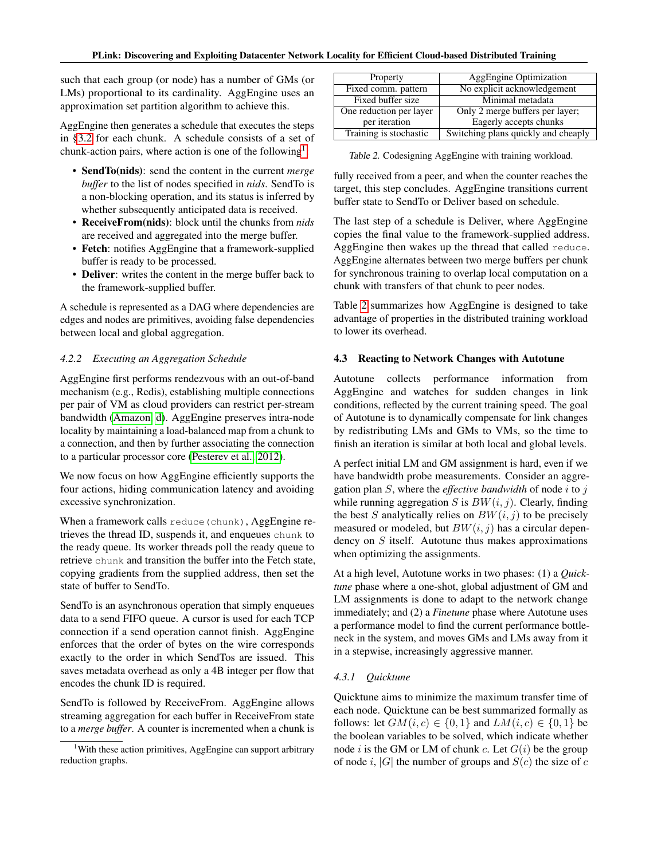such that each group (or node) has a number of GMs (or LMs) proportional to its cardinality. AggEngine uses an approximation set partition algorithm to achieve this.

AggEngine then generates a schedule that executes the steps in [§3.2](#page-2-4) for each chunk. A schedule consists of a set of chunk-action pairs, where action is one of the following<sup>[1](#page-5-1)</sup>:

- SendTo(nids): send the content in the current *merge buffer* to the list of nodes specified in *nids*. SendTo is a non-blocking operation, and its status is inferred by whether subsequently anticipated data is received.
- ReceiveFrom(nids): block until the chunks from *nids* are received and aggregated into the merge buffer.
- Fetch: notifies AggEngine that a framework-supplied buffer is ready to be processed.
- Deliver: writes the content in the merge buffer back to the framework-supplied buffer.

A schedule is represented as a DAG where dependencies are edges and nodes are primitives, avoiding false dependencies between local and global aggregation.

### *4.2.2 Executing an Aggregation Schedule*

AggEngine first performs rendezvous with an out-of-band mechanism (e.g., Redis), establishing multiple connections per pair of VM as cloud providers can restrict per-stream bandwidth [\(Amazon, d\)](#page-10-10). AggEngine preserves intra-node locality by maintaining a load-balanced map from a chunk to a connection, and then by further associating the connection to a particular processor core [\(Pesterev et al., 2012\)](#page-13-15).

We now focus on how AggEngine efficiently supports the four actions, hiding communication latency and avoiding excessive synchronization.

When a framework calls reduce (chunk), AggEngine retrieves the thread ID, suspends it, and enqueues chunk to the ready queue. Its worker threads poll the ready queue to retrieve chunk and transition the buffer into the Fetch state, copying gradients from the supplied address, then set the state of buffer to SendTo.

SendTo is an asynchronous operation that simply enqueues data to a send FIFO queue. A cursor is used for each TCP connection if a send operation cannot finish. AggEngine enforces that the order of bytes on the wire corresponds exactly to the order in which SendTos are issued. This saves metadata overhead as only a 4B integer per flow that encodes the chunk ID is required.

SendTo is followed by ReceiveFrom. AggEngine allows streaming aggregation for each buffer in ReceiveFrom state to a *merge buffer*. A counter is incremented when a chunk is

<span id="page-5-2"></span>

| Property                | <b>AggEngine Optimization</b>       |  |
|-------------------------|-------------------------------------|--|
|                         |                                     |  |
| Fixed comm. pattern     | No explicit acknowledgement         |  |
| Fixed buffer size       | Minimal metadata                    |  |
|                         |                                     |  |
| One reduction per layer | Only 2 merge buffers per layer;     |  |
| per iteration           | Eagerly accepts chunks              |  |
|                         |                                     |  |
| Training is stochastic  | Switching plans quickly and cheaply |  |

|  |  |  |  | Table 2. Codesigning AggEngine with training workload. |  |
|--|--|--|--|--------------------------------------------------------|--|
|--|--|--|--|--------------------------------------------------------|--|

fully received from a peer, and when the counter reaches the target, this step concludes. AggEngine transitions current buffer state to SendTo or Deliver based on schedule.

The last step of a schedule is Deliver, where AggEngine copies the final value to the framework-supplied address. AggEngine then wakes up the thread that called reduce. AggEngine alternates between two merge buffers per chunk for synchronous training to overlap local computation on a chunk with transfers of that chunk to peer nodes.

Table [2](#page-5-2) summarizes how AggEngine is designed to take advantage of properties in the distributed training workload to lower its overhead.

### <span id="page-5-0"></span>4.3 Reacting to Network Changes with Autotune

Autotune collects performance information from AggEngine and watches for sudden changes in link conditions, reflected by the current training speed. The goal of Autotune is to dynamically compensate for link changes by redistributing LMs and GMs to VMs, so the time to finish an iteration is similar at both local and global levels.

A perfect initial LM and GM assignment is hard, even if we have bandwidth probe measurements. Consider an aggregation plan S, where the *effective bandwidth* of node i to j while running aggregation S is  $BW(i, j)$ . Clearly, finding the best S analytically relies on  $BW(i, j)$  to be precisely measured or modeled, but  $BW(i, j)$  has a circular dependency on S itself. Autotune thus makes approximations when optimizing the assignments.

At a high level, Autotune works in two phases: (1) a *Quicktune* phase where a one-shot, global adjustment of GM and LM assignments is done to adapt to the network change immediately; and (2) a *Finetune* phase where Autotune uses a performance model to find the current performance bottleneck in the system, and moves GMs and LMs away from it in a stepwise, increasingly aggressive manner.

### *4.3.1 Quicktune*

Quicktune aims to minimize the maximum transfer time of each node. Quicktune can be best summarized formally as follows: let  $GM(i, c) \in \{0, 1\}$  and  $LM(i, c) \in \{0, 1\}$  be the boolean variables to be solved, which indicate whether node i is the GM or LM of chunk c. Let  $G(i)$  be the group of node i, |G| the number of groups and  $S(c)$  the size of c

<span id="page-5-1"></span><sup>&</sup>lt;sup>1</sup>With these action primitives, AggEngine can support arbitrary reduction graphs.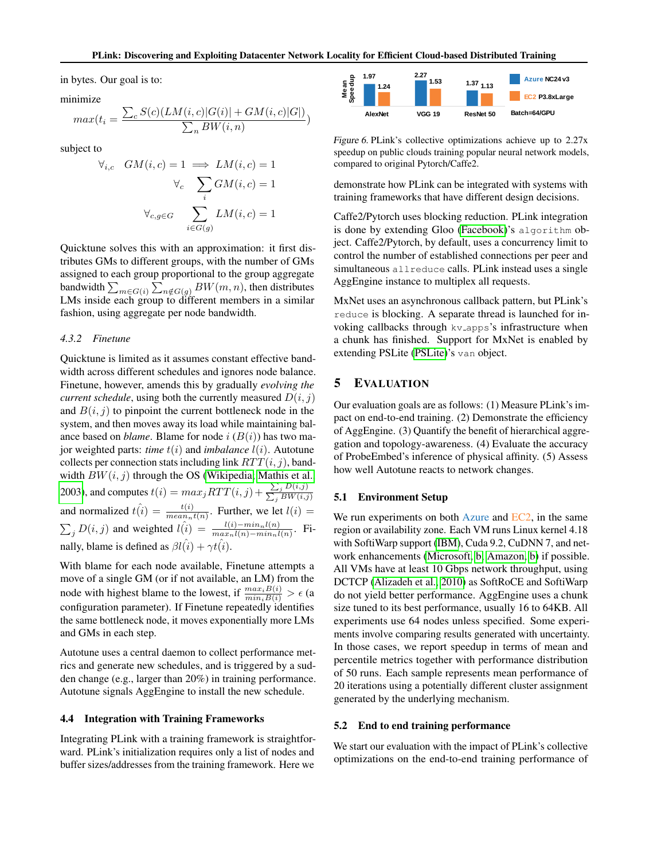in bytes. Our goal is to:

minimize

$$
max(t_i = \frac{\sum_{c} S(c)(LM(i, c)|G(i)| + GM(i, c)|G|)}{\sum_{n} BW(i, n)})
$$

subject to

$$
\forall_{i,c} \quad GM(i,c) = 1 \implies LM(i,c) = 1
$$

$$
\forall_{c} \quad \sum_{i} GM(i,c) = 1
$$

$$
\forall_{c,g \in G} \quad \sum_{i \in G(g)} LM(i,c) = 1
$$

Quicktune solves this with an approximation: it first distributes GMs to different groups, with the number of GMs assigned to each group proportional to the group aggregate bandwidth  $\sum_{m \in G(i)} \sum_{n \notin G(g)} BW(m, n)$ , then distributes LMs inside each group to different members in a similar fashion, using aggregate per node bandwidth.

### *4.3.2 Finetune*

Quicktune is limited as it assumes constant effective bandwidth across different schedules and ignores node balance. Finetune, however, amends this by gradually *evolving the current schedule*, using both the currently measured  $D(i, j)$ and  $B(i, j)$  to pinpoint the current bottleneck node in the system, and then moves away its load while maintaining balance based on *blame*. Blame for node  $i (B(i))$  has two major weighted parts: *time* t(i) and *imbalance* l(i). Autotune collects per connection stats including link  $RTT(i, j)$ , bandwidth  $BW(i, j)$  through the OS [\(Wikipedia;](#page-14-15) [Mathis et al.,](#page-13-16) [2003\)](#page-13-16), and computes  $t(i) = max_j RTT(i, j) + \frac{\sum_j D(i, j)}{\sum_j BW(i, j)}$ and normalized  $\hat{t}(i) = \frac{t(i)}{mean_n t(n)}$ . Further, we let  $l(i) =$  $\sum_{j} D(i, j)$  and weighted  $l(i) = \frac{l(i) - min_n l(n)}{max_n l(n) - min_n l(n)}$ . Finally, blame is defined as  $\beta l(\hat{i}) + \gamma t(\hat{i})$ .

With blame for each node available, Finetune attempts a move of a single GM (or if not available, an LM) from the node with highest blame to the lowest, if  $\frac{max_i B(i)}{min_i B(i)} > \epsilon$  (a configuration parameter). If Finetune repeatedly identifies the same bottleneck node, it moves exponentially more LMs and GMs in each step.

Autotune uses a central daemon to collect performance metrics and generate new schedules, and is triggered by a sudden change (e.g., larger than 20%) in training performance. Autotune signals AggEngine to install the new schedule.

### 4.4 Integration with Training Frameworks

Integrating PLink with a training framework is straightforward. PLink's initialization requires only a list of nodes and buffer sizes/addresses from the training framework. Here we

<span id="page-6-0"></span>

Figure 6. PLink's collective optimizations achieve up to 2.27x speedup on public clouds training popular neural network models, compared to original Pytorch/Caffe2.

demonstrate how PLink can be integrated with systems with training frameworks that have different design decisions.

Caffe2/Pytorch uses blocking reduction. PLink integration is done by extending Gloo [\(Facebook\)](#page-11-4)'s algorithm object. Caffe2/Pytorch, by default, uses a concurrency limit to control the number of established connections per peer and simultaneous allreduce calls. PLink instead uses a single AggEngine instance to multiplex all requests.

MxNet uses an asynchronous callback pattern, but PLink's reduce is blocking. A separate thread is launched for invoking callbacks through kv<sub>-apps</sub>'s infrastructure when a chunk has finished. Support for MxNet is enabled by extending PSLite [\(PSLite\)](#page-13-5)'s van object.

### 5 EVALUATION

Our evaluation goals are as follows: (1) Measure PLink's impact on end-to-end training. (2) Demonstrate the efficiency of AggEngine. (3) Quantify the benefit of hierarchical aggregation and topology-awareness. (4) Evaluate the accuracy of ProbeEmbed's inference of physical affinity. (5) Assess how well Autotune reacts to network changes.

#### 5.1 Environment Setup

We run experiments on both Azure and EC2, in the same region or availability zone. Each VM runs Linux kernel 4.18 with SoftiWarp support [\(IBM\)](#page-12-10), Cuda 9.2, CuDNN 7, and network enhancements [\(Microsoft, b;](#page-13-17) [Amazon, b\)](#page-10-11) if possible. All VMs have at least 10 Gbps network throughput, using DCTCP [\(Alizadeh et al., 2010\)](#page-10-12) as SoftRoCE and SoftiWarp do not yield better performance. AggEngine uses a chunk size tuned to its best performance, usually 16 to 64KB. All experiments use 64 nodes unless specified. Some experiments involve comparing results generated with uncertainty. In those cases, we report speedup in terms of mean and percentile metrics together with performance distribution of 50 runs. Each sample represents mean performance of 20 iterations using a potentially different cluster assignment generated by the underlying mechanism.

#### 5.2 End to end training performance

We start our evaluation with the impact of PLink's collective optimizations on the end-to-end training performance of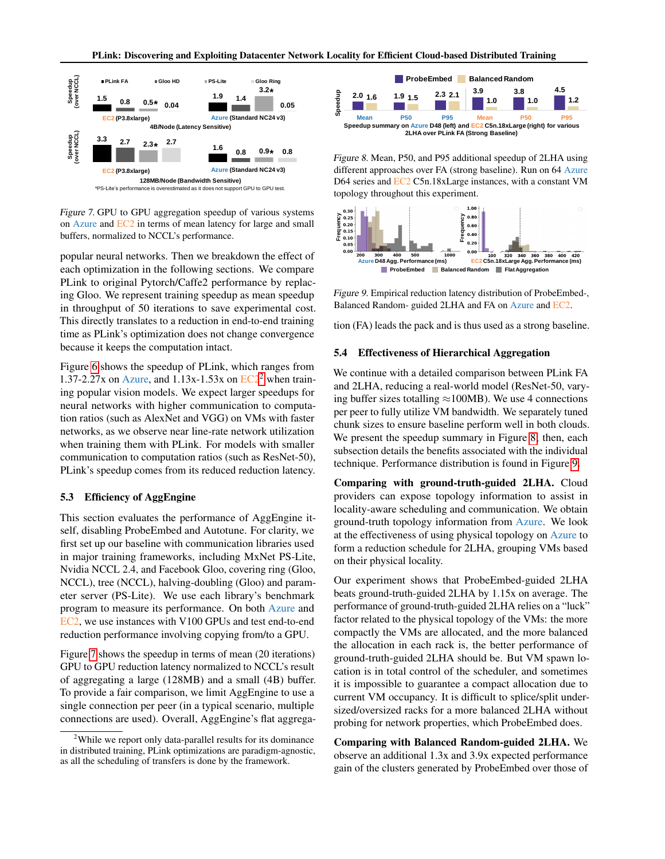<span id="page-7-1"></span>

Figure 7. GPU to GPU aggregation speedup of various systems on Azure and EC2 in terms of mean latency for large and small buffers, normalized to NCCL's performance.

popular neural networks. Then we breakdown the effect of each optimization in the following sections. We compare PLink to original Pytorch/Caffe2 performance by replacing Gloo. We represent training speedup as mean speedup in throughput of 50 iterations to save experimental cost. This directly translates to a reduction in end-to-end training time as PLink's optimization does not change convergence because it keeps the computation intact.

Figure [6](#page-6-0) shows the speedup of PLink, which ranges from 1.37-[2](#page-7-0).27x on Azure, and  $1.13x-1.53x$  on  $EC2<sup>2</sup>$  when training popular vision models. We expect larger speedups for neural networks with higher communication to computation ratios (such as AlexNet and VGG) on VMs with faster networks, as we observe near line-rate network utilization when training them with PLink. For models with smaller communication to computation ratios (such as ResNet-50), PLink's speedup comes from its reduced reduction latency.

#### <span id="page-7-4"></span>5.3 Efficiency of AggEngine

This section evaluates the performance of AggEngine itself, disabling ProbeEmbed and Autotune. For clarity, we first set up our baseline with communication libraries used in major training frameworks, including MxNet PS-Lite, Nvidia NCCL 2.4, and Facebook Gloo, covering ring (Gloo, NCCL), tree (NCCL), halving-doubling (Gloo) and parameter server (PS-Lite). We use each library's benchmark program to measure its performance. On both Azure and EC2, we use instances with V100 GPUs and test end-to-end reduction performance involving copying from/to a GPU.

Figure [7](#page-7-1) shows the speedup in terms of mean (20 iterations) GPU to GPU reduction latency normalized to NCCL's result of aggregating a large (128MB) and a small (4B) buffer. To provide a fair comparison, we limit AggEngine to use a single connection per peer (in a typical scenario, multiple connections are used). Overall, AggEngine's flat aggrega-

<span id="page-7-2"></span>

Figure 8. Mean, P50, and P95 additional speedup of 2LHA using different approaches over FA (strong baseline). Run on 64 Azure D64 series and EC2 C5n.18xLarge instances, with a constant VM topology throughout this experiment.

<span id="page-7-3"></span>

Figure 9. Empirical reduction latency distribution of ProbeEmbed-, Balanced Random- guided 2LHA and FA on Azure and EC2.

tion (FA) leads the pack and is thus used as a strong baseline.

#### 5.4 Effectiveness of Hierarchical Aggregation

We continue with a detailed comparison between PLink FA and 2LHA, reducing a real-world model (ResNet-50, varying buffer sizes totalling  $\approx$ 100MB). We use 4 connections per peer to fully utilize VM bandwidth. We separately tuned chunk sizes to ensure baseline perform well in both clouds. We present the speedup summary in Figure [8;](#page-7-2) then, each subsection details the benefits associated with the individual technique. Performance distribution is found in Figure [9.](#page-7-3)

Comparing with ground-truth-guided 2LHA. Cloud providers can expose topology information to assist in locality-aware scheduling and communication. We obtain ground-truth topology information from Azure. We look at the effectiveness of using physical topology on Azure to form a reduction schedule for 2LHA, grouping VMs based on their physical locality.

Our experiment shows that ProbeEmbed-guided 2LHA beats ground-truth-guided 2LHA by 1.15x on average. The performance of ground-truth-guided 2LHA relies on a "luck" factor related to the physical topology of the VMs: the more compactly the VMs are allocated, and the more balanced the allocation in each rack is, the better performance of ground-truth-guided 2LHA should be. But VM spawn location is in total control of the scheduler, and sometimes it is impossible to guarantee a compact allocation due to current VM occupancy. It is difficult to splice/split undersized/oversized racks for a more balanced 2LHA without probing for network properties, which ProbeEmbed does.

Comparing with Balanced Random-guided 2LHA. We observe an additional 1.3x and 3.9x expected performance gain of the clusters generated by ProbeEmbed over those of

<span id="page-7-0"></span> $2^2$ While we report only data-parallel results for its dominance in distributed training, PLink optimizations are paradigm-agnostic, as all the scheduling of transfers is done by the framework.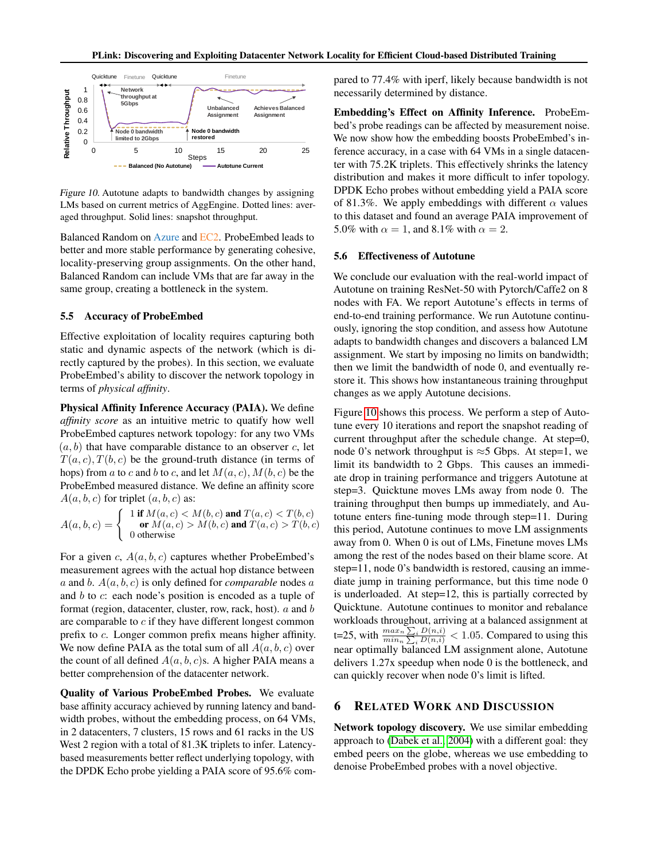<span id="page-8-0"></span>

Figure 10. Autotune adapts to bandwidth changes by assigning LMs based on current metrics of AggEngine. Dotted lines: averaged throughput. Solid lines: snapshot throughput.

Balanced Random on Azure and EC2. ProbeEmbed leads to better and more stable performance by generating cohesive, locality-preserving group assignments. On the other hand, Balanced Random can include VMs that are far away in the same group, creating a bottleneck in the system.

#### 5.5 Accuracy of ProbeEmbed

Effective exploitation of locality requires capturing both static and dynamic aspects of the network (which is directly captured by the probes). In this section, we evaluate ProbeEmbed's ability to discover the network topology in terms of *physical affinity*.

Physical Affinity Inference Accuracy (PAIA). We define *affinity score* as an intuitive metric to quatify how well ProbeEmbed captures network topology: for any two VMs  $(a, b)$  that have comparable distance to an observer c, let  $T(a, c), T(b, c)$  be the ground-truth distance (in terms of hops) from a to c and b to c, and let  $M(a, c)$ ,  $M(b, c)$  be the ProbeEmbed measured distance. We define an affinity score  $A(a, b, c)$  for triplet  $(a, b, c)$  as:

 $A(a,b,c) = \left\{ \begin{array}{c} 1 \textrm{ if } M(a,c) < M(b,c) \textrm{ and } T(a,c) < T(b,c) \ \textrm{ or } M(a,c) > M(b,c) \textrm{ and } T(a,c) > T(b,c) \end{array} \right.$ or  $M(a, c) > M(b, c)$  and  $T(a, c) > T(b, c)$ 0 otherwise

For a given c,  $A(a, b, c)$  captures whether ProbeEmbed's measurement agrees with the actual hop distance between a and b. A(a, b, c) is only defined for *comparable* nodes a and b to c: each node's position is encoded as a tuple of format (region, datacenter, cluster, row, rack, host).  $a$  and  $b$ are comparable to  $c$  if they have different longest common prefix to c. Longer common prefix means higher affinity. We now define PAIA as the total sum of all  $A(a, b, c)$  over the count of all defined  $A(a, b, c)$ s. A higher PAIA means a better comprehension of the datacenter network.

Quality of Various ProbeEmbed Probes. We evaluate base affinity accuracy achieved by running latency and bandwidth probes, without the embedding process, on 64 VMs, in 2 datacenters, 7 clusters, 15 rows and 61 racks in the US West 2 region with a total of 81.3K triplets to infer. Latencybased measurements better reflect underlying topology, with the DPDK Echo probe yielding a PAIA score of 95.6% compared to 77.4% with iperf, likely because bandwidth is not necessarily determined by distance.

Embedding's Effect on Affinity Inference. ProbeEmbed's probe readings can be affected by measurement noise. We now show how the embedding boosts ProbeEmbed's inference accuracy, in a case with 64 VMs in a single datacenter with 75.2K triplets. This effectively shrinks the latency distribution and makes it more difficult to infer topology. DPDK Echo probes without embedding yield a PAIA score of 81.3%. We apply embeddings with different  $\alpha$  values to this dataset and found an average PAIA improvement of 5.0% with  $\alpha = 1$ , and 8.1% with  $\alpha = 2$ .

#### 5.6 Effectiveness of Autotune

We conclude our evaluation with the real-world impact of Autotune on training ResNet-50 with Pytorch/Caffe2 on 8 nodes with FA. We report Autotune's effects in terms of end-to-end training performance. We run Autotune continuously, ignoring the stop condition, and assess how Autotune adapts to bandwidth changes and discovers a balanced LM assignment. We start by imposing no limits on bandwidth; then we limit the bandwidth of node 0, and eventually restore it. This shows how instantaneous training throughput changes as we apply Autotune decisions.

Figure [10](#page-8-0) shows this process. We perform a step of Autotune every 10 iterations and report the snapshot reading of current throughput after the schedule change. At step=0, node 0's network throughput is  $\approx$ 5 Gbps. At step=1, we limit its bandwidth to 2 Gbps. This causes an immediate drop in training performance and triggers Autotune at step=3. Quicktune moves LMs away from node 0. The training throughput then bumps up immediately, and Autotune enters fine-tuning mode through step=11. During this period, Autotune continues to move LM assignments away from 0. When 0 is out of LMs, Finetune moves LMs among the rest of the nodes based on their blame score. At step=11, node 0's bandwidth is restored, causing an immediate jump in training performance, but this time node 0 is underloaded. At step=12, this is partially corrected by Quicktune. Autotune continues to monitor and rebalance workloads throughout, arriving at a balanced assignment at t=25, with  $\frac{\max_{n} \sum_{i} D(n,i)}{\min_{n} \sum_{i} D(n,i)} < 1.05$ . Compared to using this near optimally balanced LM assignment alone, Autotune delivers 1.27x speedup when node 0 is the bottleneck, and can quickly recover when node 0's limit is lifted.

### 6 RELATED WORK AND DISCUSSION

Network topology discovery. We use similar embedding approach to [\(Dabek et al., 2004\)](#page-11-12) with a different goal: they embed peers on the globe, whereas we use embedding to denoise ProbeEmbed probes with a novel objective.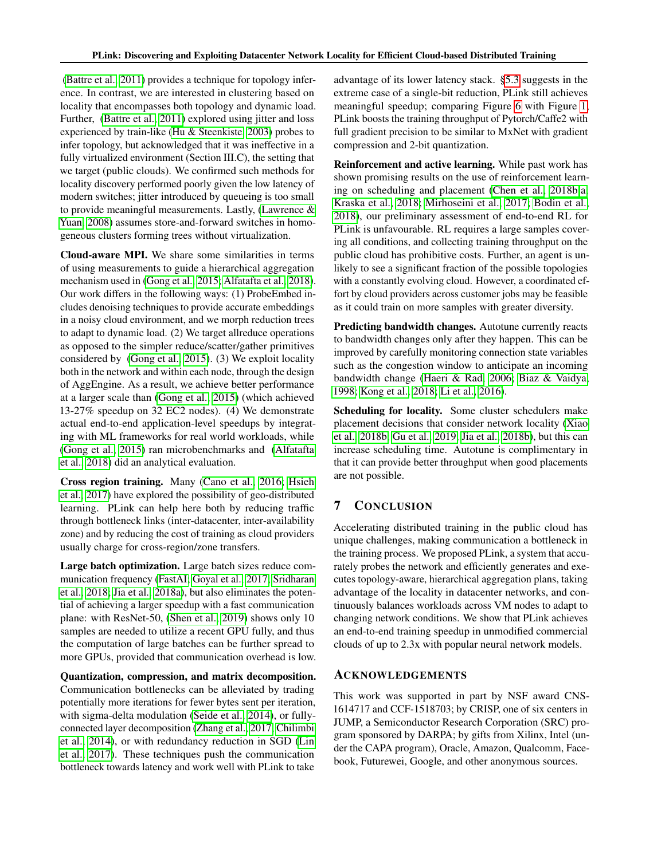[\(Battre et al., 2011\)](#page-10-13) provides a technique for topology inference. In contrast, we are interested in clustering based on locality that encompasses both topology and dynamic load. Further, [\(Battre et al., 2011\)](#page-10-13) explored using jitter and loss experienced by train-like [\(Hu & Steenkiste, 2003\)](#page-12-11) probes to infer topology, but acknowledged that it was ineffective in a fully virtualized environment (Section III.C), the setting that we target (public clouds). We confirmed such methods for locality discovery performed poorly given the low latency of modern switches; jitter introduced by queueing is too small to provide meaningful measurements. Lastly, [\(Lawrence &](#page-12-12) [Yuan, 2008\)](#page-12-12) assumes store-and-forward switches in homogeneous clusters forming trees without virtualization.

Cloud-aware MPI. We share some similarities in terms of using measurements to guide a hierarchical aggregation mechanism used in [\(Gong et al., 2015;](#page-11-13) [Alfatafta et al., 2018\)](#page-10-7). Our work differs in the following ways: (1) ProbeEmbed includes denoising techniques to provide accurate embeddings in a noisy cloud environment, and we morph reduction trees to adapt to dynamic load. (2) We target allreduce operations as opposed to the simpler reduce/scatter/gather primitives considered by [\(Gong et al., 2015\)](#page-11-13). (3) We exploit locality both in the network and within each node, through the design of AggEngine. As a result, we achieve better performance at a larger scale than [\(Gong et al., 2015\)](#page-11-13) (which achieved 13-27% speedup on 32 EC2 nodes). (4) We demonstrate actual end-to-end application-level speedups by integrating with ML frameworks for real world workloads, while [\(Gong et al., 2015\)](#page-11-13) ran microbenchmarks and [\(Alfatafta](#page-10-7) [et al., 2018\)](#page-10-7) did an analytical evaluation.

Cross region training. Many [\(Cano et al., 2016;](#page-10-14) [Hsieh](#page-11-14) [et al., 2017\)](#page-11-14) have explored the possibility of geo-distributed learning. PLink can help here both by reducing traffic through bottleneck links (inter-datacenter, inter-availability zone) and by reducing the cost of training as cloud providers usually charge for cross-region/zone transfers.

Large batch optimization. Large batch sizes reduce communication frequency [\(FastAI;](#page-11-15) [Goyal et al., 2017;](#page-11-0) [Sridharan](#page-14-16) [et al., 2018;](#page-14-16) [Jia et al., 2018a\)](#page-12-0), but also eliminates the potential of achieving a larger speedup with a fast communication plane: with ResNet-50, [\(Shen et al., 2019\)](#page-14-17) shows only 10 samples are needed to utilize a recent GPU fully, and thus the computation of large batches can be further spread to more GPUs, provided that communication overhead is low.

Quantization, compression, and matrix decomposition. Communication bottlenecks can be alleviated by trading potentially more iterations for fewer bytes sent per iteration, with sigma-delta modulation [\(Seide et al., 2014\)](#page-14-3), or fullyconnected layer decomposition [\(Zhang et al., 2017;](#page-15-1) [Chilimbi](#page-10-15) [et al., 2014\)](#page-10-15), or with redundancy reduction in SGD [\(Lin](#page-13-2) [et al., 2017\)](#page-13-2). These techniques push the communication bottleneck towards latency and work well with PLink to take

advantage of its lower latency stack. [§5.3](#page-7-4) suggests in the extreme case of a single-bit reduction, PLink still achieves meaningful speedup; comparing Figure [6](#page-6-0) with Figure [1,](#page-1-0) PLink boosts the training throughput of Pytorch/Caffe2 with full gradient precision to be similar to MxNet with gradient compression and 2-bit quantization.

Reinforcement and active learning. While past work has shown promising results on the use of reinforcement learning on scheduling and placement [\(Chen et al., 2018b](#page-10-16)[;a;](#page-10-17) [Kraska et al., 2018;](#page-12-13) [Mirhoseini et al., 2017;](#page-13-18) [Bodin et al.,](#page-10-18) [2018\)](#page-10-18), our preliminary assessment of end-to-end RL for PLink is unfavourable. RL requires a large samples covering all conditions, and collecting training throughput on the public cloud has prohibitive costs. Further, an agent is unlikely to see a significant fraction of the possible topologies with a constantly evolving cloud. However, a coordinated effort by cloud providers across customer jobs may be feasible as it could train on more samples with greater diversity.

Predicting bandwidth changes. Autotune currently reacts to bandwidth changes only after they happen. This can be improved by carefully monitoring connection state variables such as the congestion window to anticipate an incoming bandwidth change [\(Haeri & Rad, 2006;](#page-11-16) [Biaz & Vaidya,](#page-10-19) [1998;](#page-10-19) [Kong et al., 2018;](#page-12-14) [Li et al., 2016\)](#page-13-19).

Scheduling for locality. Some cluster schedulers make placement decisions that consider network locality [\(Xiao](#page-14-18) [et al., 2018b;](#page-14-18) [Gu et al., 2019;](#page-11-17) [Jia et al., 2018b\)](#page-12-15), but this can increase scheduling time. Autotune is complimentary in that it can provide better throughput when good placements are not possible.

# 7 CONCLUSION

Accelerating distributed training in the public cloud has unique challenges, making communication a bottleneck in the training process. We proposed PLink, a system that accurately probes the network and efficiently generates and executes topology-aware, hierarchical aggregation plans, taking advantage of the locality in datacenter networks, and continuously balances workloads across VM nodes to adapt to changing network conditions. We show that PLink achieves an end-to-end training speedup in unmodified commercial clouds of up to 2.3x with popular neural network models.

## ACKNOWLEDGEMENTS

This work was supported in part by NSF award CNS-1614717 and CCF-1518703; by CRISP, one of six centers in JUMP, a Semiconductor Research Corporation (SRC) program sponsored by DARPA; by gifts from Xilinx, Intel (under the CAPA program), Oracle, Amazon, Qualcomm, Facebook, Futurewei, Google, and other anonymous sources.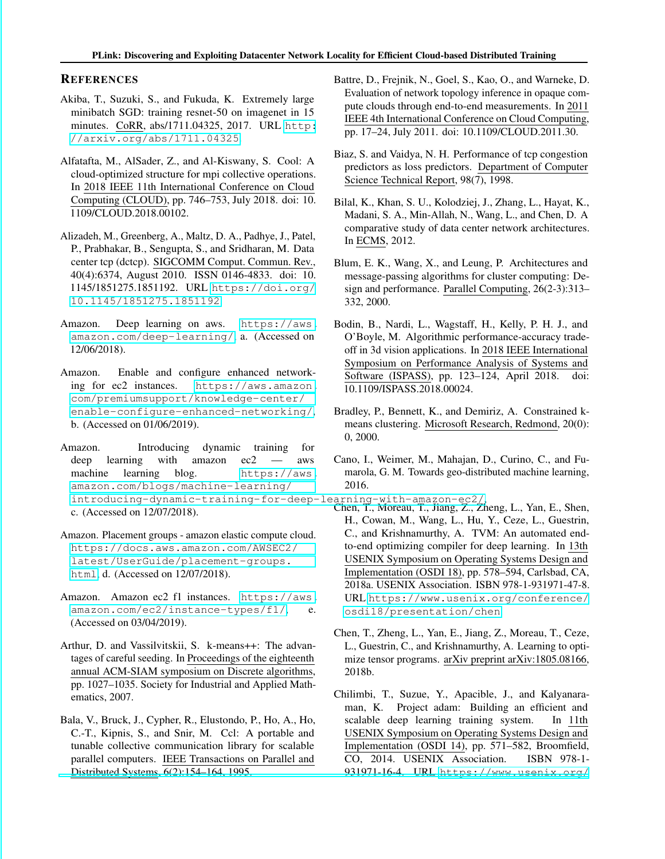### **REFERENCES**

- <span id="page-10-0"></span>Akiba, T., Suzuki, S., and Fukuda, K. Extremely large minibatch SGD: training resnet-50 on imagenet in 15 minutes. CoRR, abs/1711.04325, 2017. URL [http:](http://arxiv.org/abs/1711.04325) [//arxiv.org/abs/1711.04325](http://arxiv.org/abs/1711.04325).
- <span id="page-10-7"></span>Alfatafta, M., AlSader, Z., and Al-Kiswany, S. Cool: A cloud-optimized structure for mpi collective operations. In 2018 IEEE 11th International Conference on Cloud Computing (CLOUD), pp. 746–753, July 2018. doi: 10. 1109/CLOUD.2018.00102.
- <span id="page-10-12"></span>Alizadeh, M., Greenberg, A., Maltz, D. A., Padhye, J., Patel, P., Prabhakar, B., Sengupta, S., and Sridharan, M. Data center tcp (dctcp). SIGCOMM Comput. Commun. Rev., 40(4):6374, August 2010. ISSN 0146-4833. doi: 10. 1145/1851275.1851192. URL [https://doi.org/](https://doi.org/10.1145/1851275.1851192) [10.1145/1851275.1851192](https://doi.org/10.1145/1851275.1851192).
- <span id="page-10-1"></span>Amazon. Deep learning on aws. [https://aws.](https://aws.amazon.com/deep-learning/) [amazon.com/deep-learning/](https://aws.amazon.com/deep-learning/), a. (Accessed on 12/06/2018).
- <span id="page-10-11"></span>Amazon. Enable and configure enhanced networking for ec2 instances. [https://aws.amazon.](https://aws.amazon.com/premiumsupport/knowledge-center/enable-configure-enhanced-networking/) [com/premiumsupport/knowledge-center/](https://aws.amazon.com/premiumsupport/knowledge-center/enable-configure-enhanced-networking/) [enable-configure-enhanced-networking/](https://aws.amazon.com/premiumsupport/knowledge-center/enable-configure-enhanced-networking/), b. (Accessed on 01/06/2019).
- <span id="page-10-6"></span>Amazon. Introducing dynamic training for deep learning with amazon ec2 — aws machine learning blog. [https://aws.](https://aws.amazon.com/blogs/machine-learning/introducing-dynamic-training-for-deep-learning-with-amazon-ec2/) [amazon.com/blogs/machine-learning/](https://aws.amazon.com/blogs/machine-learning/introducing-dynamic-training-for-deep-learning-with-amazon-ec2/) [introducing-dynamic-training-for-deep-learning-with-amazon-ec2/](https://aws.amazon.com/blogs/machine-learning/introducing-dynamic-training-for-deep-learning-with-amazon-ec2/), Chen, T., Moreau, T., Jiang, Z., Zheng, L., Yan, E., Shen, c. (Accessed on 12/07/2018).
- <span id="page-10-10"></span>Amazon. Placement groups - amazon elastic compute cloud. [https://docs.aws.amazon.com/AWSEC2/](https://docs.aws.amazon.com/AWSEC2/latest/UserGuide/placement-groups.html) [latest/UserGuide/placement-groups.](https://docs.aws.amazon.com/AWSEC2/latest/UserGuide/placement-groups.html) [html](https://docs.aws.amazon.com/AWSEC2/latest/UserGuide/placement-groups.html), d. (Accessed on 12/07/2018).
- <span id="page-10-2"></span>Amazon. Amazon ec2 f1 instances. [https://aws.](https://aws.amazon.com/ec2/instance-types/f1/) [amazon.com/ec2/instance-types/f1/](https://aws.amazon.com/ec2/instance-types/f1/), e. (Accessed on 03/04/2019).
- <span id="page-10-9"></span>Arthur, D. and Vassilvitskii, S. k-means++: The advantages of careful seeding. In Proceedings of the eighteenth annual ACM-SIAM symposium on Discrete algorithms, pp. 1027–1035. Society for Industrial and Applied Mathematics, 2007.
- <span id="page-10-5"></span>Bala, V., Bruck, J., Cypher, R., Elustondo, P., Ho, A., Ho, C.-T., Kipnis, S., and Snir, M. Ccl: A portable and tunable collective communication library for scalable parallel computers. IEEE Transactions on Parallel and Distributed Systems, 6(2):154–164, 1995.
- <span id="page-10-13"></span>Battre, D., Frejnik, N., Goel, S., Kao, O., and Warneke, D. Evaluation of network topology inference in opaque compute clouds through end-to-end measurements. In 2011 IEEE 4th International Conference on Cloud Computing, pp. 17–24, July 2011. doi: 10.1109/CLOUD.2011.30.
- <span id="page-10-19"></span>Biaz, S. and Vaidya, N. H. Performance of tcp congestion predictors as loss predictors. Department of Computer Science Technical Report, 98(7), 1998.
- <span id="page-10-3"></span>Bilal, K., Khan, S. U., Kolodziej, J., Zhang, L., Hayat, K., Madani, S. A., Min-Allah, N., Wang, L., and Chen, D. A comparative study of data center network architectures. In ECMS, 2012.
- <span id="page-10-4"></span>Blum, E. K., Wang, X., and Leung, P. Architectures and message-passing algorithms for cluster computing: Design and performance. Parallel Computing, 26(2-3):313– 332, 2000.
- <span id="page-10-18"></span>Bodin, B., Nardi, L., Wagstaff, H., Kelly, P. H. J., and O'Boyle, M. Algorithmic performance-accuracy tradeoff in 3d vision applications. In 2018 IEEE International Symposium on Performance Analysis of Systems and Software (ISPASS), pp. 123–124, April 2018. doi: 10.1109/ISPASS.2018.00024.
- <span id="page-10-8"></span>Bradley, P., Bennett, K., and Demiriz, A. Constrained kmeans clustering. Microsoft Research, Redmond, 20(0): 0, 2000.
- <span id="page-10-14"></span>Cano, I., Weimer, M., Mahajan, D., Curino, C., and Fumarola, G. M. Towards geo-distributed machine learning, 2016.
- <span id="page-10-17"></span>H., Cowan, M., Wang, L., Hu, Y., Ceze, L., Guestrin, C., and Krishnamurthy, A. TVM: An automated endto-end optimizing compiler for deep learning. In 13th USENIX Symposium on Operating Systems Design and Implementation (OSDI 18), pp. 578–594, Carlsbad, CA, 2018a. USENIX Association. ISBN 978-1-931971-47-8. URL [https://www.usenix.org/conference/](https://www.usenix.org/conference/osdi18/presentation/chen) [osdi18/presentation/chen](https://www.usenix.org/conference/osdi18/presentation/chen).
- <span id="page-10-16"></span>Chen, T., Zheng, L., Yan, E., Jiang, Z., Moreau, T., Ceze, L., Guestrin, C., and Krishnamurthy, A. Learning to optimize tensor programs. arXiv preprint arXiv:1805.08166, 2018b.
- <span id="page-10-15"></span>Chilimbi, T., Suzue, Y., Apacible, J., and Kalyanaraman, K. Project adam: Building an efficient and scalable deep learning training system. In 11th USENIX Symposium on Operating Systems Design and Implementation (OSDI 14), pp. 571–582, Broomfield, CO, 2014. USENIX Association. ISBN 978-1- 931971-16-4. URL [https://www.usenix.org/](https://www.usenix.org/conference/osdi14/technical-sessions/presentation/chilimbi)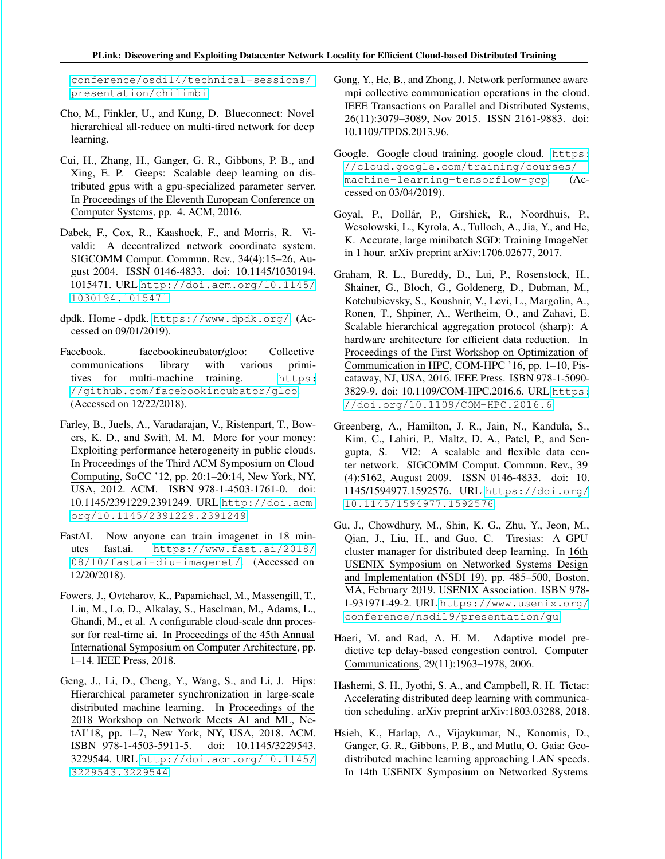[conference/osdi14/technical-sessions/](https://www.usenix.org/conference/osdi14/technical-sessions/presentation/chilimbi) [presentation/chilimbi](https://www.usenix.org/conference/osdi14/technical-sessions/presentation/chilimbi).

- <span id="page-11-8"></span>Cho, M., Finkler, U., and Kung, D. Blueconnect: Novel hierarchical all-reduce on multi-tired network for deep learning.
- <span id="page-11-6"></span>Cui, H., Zhang, H., Ganger, G. R., Gibbons, P. B., and Xing, E. P. Geeps: Scalable deep learning on distributed gpus with a gpu-specialized parameter server. In Proceedings of the Eleventh European Conference on Computer Systems, pp. 4. ACM, 2016.
- <span id="page-11-12"></span>Dabek, F., Cox, R., Kaashoek, F., and Morris, R. Vivaldi: A decentralized network coordinate system. SIGCOMM Comput. Commun. Rev., 34(4):15–26, August 2004. ISSN 0146-4833. doi: 10.1145/1030194. 1015471. URL [http://doi.acm.org/10.1145/](http://doi.acm.org/10.1145/1030194.1015471) [1030194.1015471](http://doi.acm.org/10.1145/1030194.1015471).
- <span id="page-11-11"></span>dpdk. Home - dpdk. <https://www.dpdk.org/>. (Accessed on 09/01/2019).
- <span id="page-11-4"></span>Facebook. facebookincubator/gloo: Collective communications library with various primitives for multi-machine training. [https:](https://github.com/facebookincubator/gloo) [//github.com/facebookincubator/gloo](https://github.com/facebookincubator/gloo). (Accessed on 12/22/2018).
- <span id="page-11-10"></span>Farley, B., Juels, A., Varadarajan, V., Ristenpart, T., Bowers, K. D., and Swift, M. M. More for your money: Exploiting performance heterogeneity in public clouds. In Proceedings of the Third ACM Symposium on Cloud Computing, SoCC '12, pp. 20:1–20:14, New York, NY, USA, 2012. ACM. ISBN 978-1-4503-1761-0. doi: 10.1145/2391229.2391249. URL [http://doi.acm.](http://doi.acm.org/10.1145/2391229.2391249) [org/10.1145/2391229.2391249](http://doi.acm.org/10.1145/2391229.2391249).
- <span id="page-11-15"></span>FastAI. Now anyone can train imagenet in 18 minutes fast.ai. [https://www.fast.ai/2018/](https://www.fast.ai/2018/08/10/fastai-diu-imagenet/) [08/10/fastai-diu-imagenet/](https://www.fast.ai/2018/08/10/fastai-diu-imagenet/). (Accessed on 12/20/2018).
- <span id="page-11-2"></span>Fowers, J., Ovtcharov, K., Papamichael, M., Massengill, T., Liu, M., Lo, D., Alkalay, S., Haselman, M., Adams, L., Ghandi, M., et al. A configurable cloud-scale dnn processor for real-time ai. In Proceedings of the 45th Annual International Symposium on Computer Architecture, pp. 1–14. IEEE Press, 2018.
- <span id="page-11-9"></span>Geng, J., Li, D., Cheng, Y., Wang, S., and Li, J. Hips: Hierarchical parameter synchronization in large-scale distributed machine learning. In Proceedings of the 2018 Workshop on Network Meets AI and ML, NetAI'18, pp. 1–7, New York, NY, USA, 2018. ACM. ISBN 978-1-4503-5911-5. doi: 10.1145/3229543. 3229544. URL [http://doi.acm.org/10.1145/](http://doi.acm.org/10.1145/3229543.3229544) [3229543.3229544](http://doi.acm.org/10.1145/3229543.3229544).
- <span id="page-11-13"></span>Gong, Y., He, B., and Zhong, J. Network performance aware mpi collective communication operations in the cloud. IEEE Transactions on Parallel and Distributed Systems, 26(11):3079–3089, Nov 2015. ISSN 2161-9883. doi: 10.1109/TPDS.2013.96.
- <span id="page-11-1"></span>Google. Google cloud training. google cloud. [https:](https://cloud.google.com/training/courses/machine-learning-tensorflow-gcp) [//cloud.google.com/training/courses/](https://cloud.google.com/training/courses/machine-learning-tensorflow-gcp) [machine-learning-tensorflow-gcp](https://cloud.google.com/training/courses/machine-learning-tensorflow-gcp). (Accessed on 03/04/2019).
- <span id="page-11-0"></span>Goyal, P., Dollár, P., Girshick, R., Noordhuis, P., Wesolowski, L., Kyrola, A., Tulloch, A., Jia, Y., and He, K. Accurate, large minibatch SGD: Training ImageNet in 1 hour. arXiv preprint arXiv:1706.02677, 2017.
- <span id="page-11-7"></span>Graham, R. L., Bureddy, D., Lui, P., Rosenstock, H., Shainer, G., Bloch, G., Goldenerg, D., Dubman, M., Kotchubievsky, S., Koushnir, V., Levi, L., Margolin, A., Ronen, T., Shpiner, A., Wertheim, O., and Zahavi, E. Scalable hierarchical aggregation protocol (sharp): A hardware architecture for efficient data reduction. In Proceedings of the First Workshop on Optimization of Communication in HPC, COM-HPC '16, pp. 1–10, Piscataway, NJ, USA, 2016. IEEE Press. ISBN 978-1-5090- 3829-9. doi: 10.1109/COM-HPC.2016.6. URL [https:](https://doi.org/10.1109/COM-HPC.2016.6) [//doi.org/10.1109/COM-HPC.2016.6](https://doi.org/10.1109/COM-HPC.2016.6).
- <span id="page-11-5"></span>Greenberg, A., Hamilton, J. R., Jain, N., Kandula, S., Kim, C., Lahiri, P., Maltz, D. A., Patel, P., and Sengupta, S. Vl2: A scalable and flexible data center network. SIGCOMM Comput. Commun. Rev., 39 (4):5162, August 2009. ISSN 0146-4833. doi: 10. 1145/1594977.1592576. URL [https://doi.org/](https://doi.org/10.1145/1594977.1592576) [10.1145/1594977.1592576](https://doi.org/10.1145/1594977.1592576).
- <span id="page-11-17"></span>Gu, J., Chowdhury, M., Shin, K. G., Zhu, Y., Jeon, M., Qian, J., Liu, H., and Guo, C. Tiresias: A GPU cluster manager for distributed deep learning. In 16th USENIX Symposium on Networked Systems Design and Implementation (NSDI 19), pp. 485–500, Boston, MA, February 2019. USENIX Association. ISBN 978- 1-931971-49-2. URL [https://www.usenix.org/](https://www.usenix.org/conference/nsdi19/presentation/gu) [conference/nsdi19/presentation/gu](https://www.usenix.org/conference/nsdi19/presentation/gu).
- <span id="page-11-16"></span>Haeri, M. and Rad, A. H. M. Adaptive model predictive tcp delay-based congestion control. Computer Communications, 29(11):1963–1978, 2006.
- <span id="page-11-3"></span>Hashemi, S. H., Jyothi, S. A., and Campbell, R. H. Tictac: Accelerating distributed deep learning with communication scheduling. arXiv preprint arXiv:1803.03288, 2018.
- <span id="page-11-14"></span>Hsieh, K., Harlap, A., Vijaykumar, N., Konomis, D., Ganger, G. R., Gibbons, P. B., and Mutlu, O. Gaia: Geodistributed machine learning approaching LAN speeds. In 14th USENIX Symposium on Networked Systems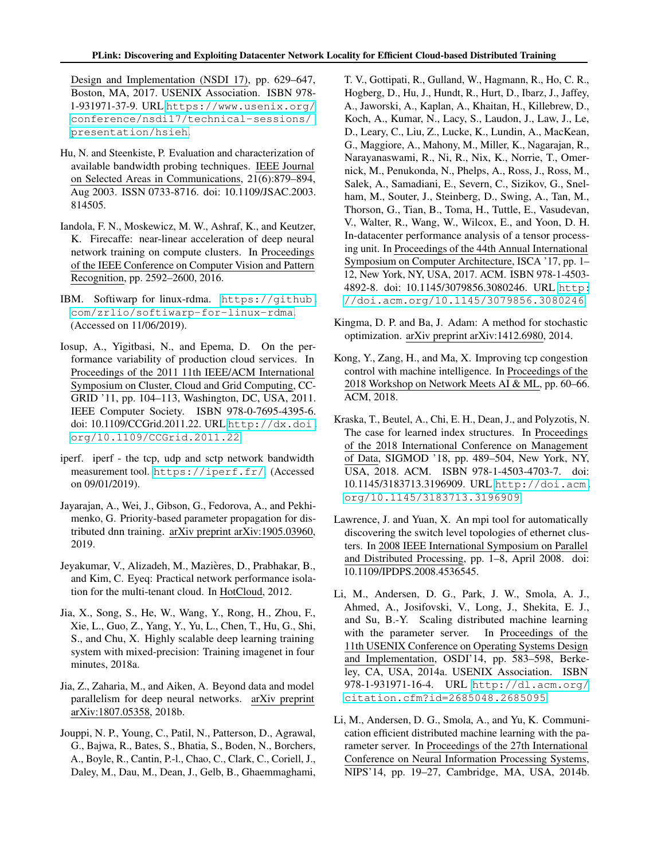Design and Implementation (NSDI 17), pp. 629–647, Boston, MA, 2017. USENIX Association. ISBN 978- 1-931971-37-9. URL [https://www.usenix.org/](https://www.usenix.org/conference/nsdi17/technical-sessions/presentation/hsieh) [conference/nsdi17/technical-sessions/](https://www.usenix.org/conference/nsdi17/technical-sessions/presentation/hsieh) [presentation/hsieh](https://www.usenix.org/conference/nsdi17/technical-sessions/presentation/hsieh).

- <span id="page-12-11"></span>Hu, N. and Steenkiste, P. Evaluation and characterization of available bandwidth probing techniques. IEEE Journal on Selected Areas in Communications, 21(6):879–894, Aug 2003. ISSN 0733-8716. doi: 10.1109/JSAC.2003. 814505.
- <span id="page-12-1"></span>Iandola, F. N., Moskewicz, M. W., Ashraf, K., and Keutzer, K. Firecaffe: near-linear acceleration of deep neural network training on compute clusters. In Proceedings of the IEEE Conference on Computer Vision and Pattern Recognition, pp. 2592–2600, 2016.
- <span id="page-12-10"></span>IBM. Softiwarp for linux-rdma. [https://github.](https://github.com/zrlio/softiwarp-for-linux-rdma) [com/zrlio/softiwarp-for-linux-rdma](https://github.com/zrlio/softiwarp-for-linux-rdma). (Accessed on 11/06/2019).
- <span id="page-12-7"></span>Iosup, A., Yigitbasi, N., and Epema, D. On the performance variability of production cloud services. In Proceedings of the 2011 11th IEEE/ACM International Symposium on Cluster, Cloud and Grid Computing, CC-GRID '11, pp. 104–113, Washington, DC, USA, 2011. IEEE Computer Society. ISBN 978-0-7695-4395-6. doi: 10.1109/CCGrid.2011.22. URL [http://dx.doi.](http://dx.doi.org/10.1109/CCGrid.2011.22) [org/10.1109/CCGrid.2011.22](http://dx.doi.org/10.1109/CCGrid.2011.22).
- <span id="page-12-8"></span>iperf. iperf - the tcp, udp and sctp network bandwidth measurement tool. <https://iperf.fr/>. (Accessed on 09/01/2019).
- <span id="page-12-3"></span>Jayarajan, A., Wei, J., Gibson, G., Fedorova, A., and Pekhimenko, G. Priority-based parameter propagation for distributed dnn training. arXiv preprint arXiv:1905.03960, 2019.
- <span id="page-12-4"></span>Jeyakumar, V., Alizadeh, M., Mazieres, D., Prabhakar, B., ` and Kim, C. Eyeq: Practical network performance isolation for the multi-tenant cloud. In HotCloud, 2012.
- <span id="page-12-0"></span>Jia, X., Song, S., He, W., Wang, Y., Rong, H., Zhou, F., Xie, L., Guo, Z., Yang, Y., Yu, L., Chen, T., Hu, G., Shi, S., and Chu, X. Highly scalable deep learning training system with mixed-precision: Training imagenet in four minutes, 2018a.
- <span id="page-12-15"></span>Jia, Z., Zaharia, M., and Aiken, A. Beyond data and model parallelism for deep neural networks. arXiv preprint arXiv:1807.05358, 2018b.
- <span id="page-12-2"></span>Jouppi, N. P., Young, C., Patil, N., Patterson, D., Agrawal, G., Bajwa, R., Bates, S., Bhatia, S., Boden, N., Borchers, A., Boyle, R., Cantin, P.-l., Chao, C., Clark, C., Coriell, J., Daley, M., Dau, M., Dean, J., Gelb, B., Ghaemmaghami,

T. V., Gottipati, R., Gulland, W., Hagmann, R., Ho, C. R., Hogberg, D., Hu, J., Hundt, R., Hurt, D., Ibarz, J., Jaffey, A., Jaworski, A., Kaplan, A., Khaitan, H., Killebrew, D., Koch, A., Kumar, N., Lacy, S., Laudon, J., Law, J., Le, D., Leary, C., Liu, Z., Lucke, K., Lundin, A., MacKean, G., Maggiore, A., Mahony, M., Miller, K., Nagarajan, R., Narayanaswami, R., Ni, R., Nix, K., Norrie, T., Omernick, M., Penukonda, N., Phelps, A., Ross, J., Ross, M., Salek, A., Samadiani, E., Severn, C., Sizikov, G., Snelham, M., Souter, J., Steinberg, D., Swing, A., Tan, M., Thorson, G., Tian, B., Toma, H., Tuttle, E., Vasudevan, V., Walter, R., Wang, W., Wilcox, E., and Yoon, D. H. In-datacenter performance analysis of a tensor processing unit. In Proceedings of the 44th Annual International Symposium on Computer Architecture, ISCA '17, pp. 1– 12, New York, NY, USA, 2017. ACM. ISBN 978-1-4503- 4892-8. doi: 10.1145/3079856.3080246. URL [http:](http://doi.acm.org/10.1145/3079856.3080246) [//doi.acm.org/10.1145/3079856.3080246](http://doi.acm.org/10.1145/3079856.3080246).

- <span id="page-12-9"></span>Kingma, D. P. and Ba, J. Adam: A method for stochastic optimization. arXiv preprint arXiv:1412.6980, 2014.
- <span id="page-12-14"></span>Kong, Y., Zang, H., and Ma, X. Improving tcp congestion control with machine intelligence. In Proceedings of the 2018 Workshop on Network Meets AI & ML, pp. 60–66. ACM, 2018.
- <span id="page-12-13"></span>Kraska, T., Beutel, A., Chi, E. H., Dean, J., and Polyzotis, N. The case for learned index structures. In Proceedings of the 2018 International Conference on Management of Data, SIGMOD '18, pp. 489–504, New York, NY, USA, 2018. ACM. ISBN 978-1-4503-4703-7. doi: 10.1145/3183713.3196909. URL [http://doi.acm.](http://doi.acm.org/10.1145/3183713.3196909) [org/10.1145/3183713.3196909](http://doi.acm.org/10.1145/3183713.3196909).
- <span id="page-12-12"></span>Lawrence, J. and Yuan, X. An mpi tool for automatically discovering the switch level topologies of ethernet clusters. In 2008 IEEE International Symposium on Parallel and Distributed Processing, pp. 1–8, April 2008. doi: 10.1109/IPDPS.2008.4536545.
- <span id="page-12-5"></span>Li, M., Andersen, D. G., Park, J. W., Smola, A. J., Ahmed, A., Josifovski, V., Long, J., Shekita, E. J., and Su, B.-Y. Scaling distributed machine learning with the parameter server. In Proceedings of the 11th USENIX Conference on Operating Systems Design and Implementation, OSDI'14, pp. 583–598, Berkeley, CA, USA, 2014a. USENIX Association. ISBN 978-1-931971-16-4. URL [http://dl.acm.org/](http://dl.acm.org/citation.cfm?id=2685048.2685095) [citation.cfm?id=2685048.2685095](http://dl.acm.org/citation.cfm?id=2685048.2685095).
- <span id="page-12-6"></span>Li, M., Andersen, D. G., Smola, A., and Yu, K. Communication efficient distributed machine learning with the parameter server. In Proceedings of the 27th International Conference on Neural Information Processing Systems, NIPS'14, pp. 19–27, Cambridge, MA, USA, 2014b.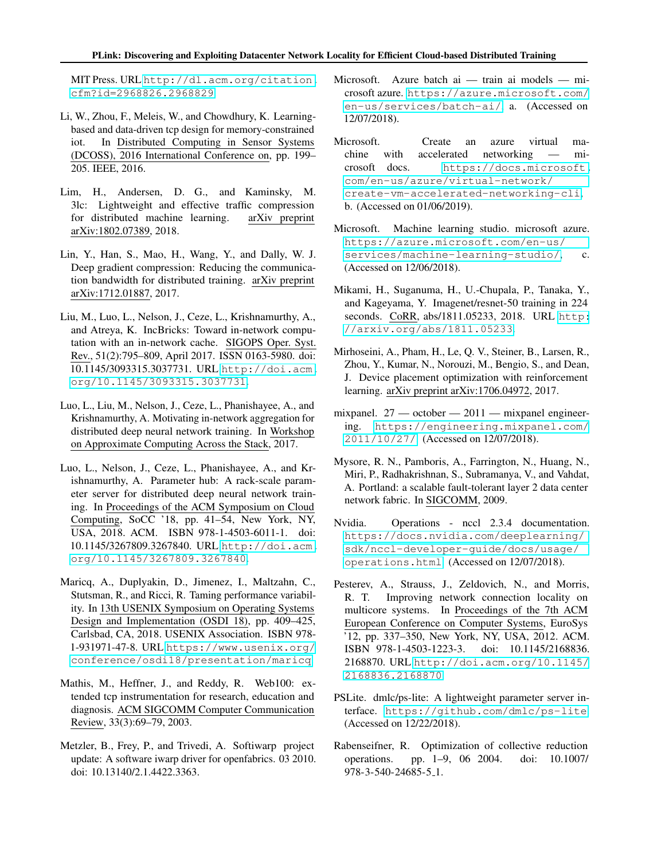### PLink: Discovering and Exploiting Datacenter Network Locality for Efficient Cloud-based Distributed Training

MIT Press. URL [http://dl.acm.org/citation.](http://dl.acm.org/citation.cfm?id=2968826.2968829) [cfm?id=2968826.2968829](http://dl.acm.org/citation.cfm?id=2968826.2968829).

- <span id="page-13-19"></span>Li, W., Zhou, F., Meleis, W., and Chowdhury, K. Learningbased and data-driven tcp design for memory-constrained iot. In Distributed Computing in Sensor Systems (DCOSS), 2016 International Conference on, pp. 199– 205. IEEE, 2016.
- <span id="page-13-3"></span>Lim, H., Andersen, D. G., and Kaminsky, M. 3lc: Lightweight and effective traffic compression for distributed machine learning. arXiv preprint arXiv:1802.07389, 2018.
- <span id="page-13-2"></span>Lin, Y., Han, S., Mao, H., Wang, Y., and Dally, W. J. Deep gradient compression: Reducing the communication bandwidth for distributed training. arXiv preprint arXiv:1712.01887, 2017.
- <span id="page-13-8"></span>Liu, M., Luo, L., Nelson, J., Ceze, L., Krishnamurthy, A., and Atreya, K. IncBricks: Toward in-network computation with an in-network cache. SIGOPS Oper. Syst. Rev., 51(2):795–809, April 2017. ISSN 0163-5980. doi: 10.1145/3093315.3037731. URL [http://doi.acm.](http://doi.acm.org/10.1145/3093315.3037731) [org/10.1145/3093315.3037731](http://doi.acm.org/10.1145/3093315.3037731).
- <span id="page-13-6"></span>Luo, L., Liu, M., Nelson, J., Ceze, L., Phanishayee, A., and Krishnamurthy, A. Motivating in-network aggregation for distributed deep neural network training. In Workshop on Approximate Computing Across the Stack, 2017.
- <span id="page-13-10"></span>Luo, L., Nelson, J., Ceze, L., Phanishayee, A., and Krishnamurthy, A. Parameter hub: A rack-scale parameter server for distributed deep neural network training. In Proceedings of the ACM Symposium on Cloud Computing, SoCC '18, pp. 41–54, New York, NY, USA, 2018. ACM. ISBN 978-1-4503-6011-1. doi: 10.1145/3267809.3267840. URL [http://doi.acm.](http://doi.acm.org/10.1145/3267809.3267840) [org/10.1145/3267809.3267840](http://doi.acm.org/10.1145/3267809.3267840).
- <span id="page-13-13"></span>Maricq, A., Duplyakin, D., Jimenez, I., Maltzahn, C., Stutsman, R., and Ricci, R. Taming performance variability. In 13th USENIX Symposium on Operating Systems Design and Implementation (OSDI 18), pp. 409–425, Carlsbad, CA, 2018. USENIX Association. ISBN 978- 1-931971-47-8. URL [https://www.usenix.org/](https://www.usenix.org/conference/osdi18/presentation/maricq) [conference/osdi18/presentation/maricq](https://www.usenix.org/conference/osdi18/presentation/maricq).
- <span id="page-13-16"></span>Mathis, M., Heffner, J., and Reddy, R. Web100: extended tcp instrumentation for research, education and diagnosis. ACM SIGCOMM Computer Communication Review, 33(3):69–79, 2003.
- <span id="page-13-14"></span>Metzler, B., Frey, P., and Trivedi, A. Softiwarp project update: A software iwarp driver for openfabrics. 03 2010. doi: 10.13140/2.1.4422.3363.
- <span id="page-13-12"></span>Microsoft. Azure batch ai — train ai models — microsoft azure. [https://azure.microsoft.com/](https://azure.microsoft.com/en-us/services/batch-ai/) [en-us/services/batch-ai/](https://azure.microsoft.com/en-us/services/batch-ai/), a. (Accessed on 12/07/2018).
- <span id="page-13-17"></span>Microsoft. Create an azure virtual machine with accelerated networking — microsoft docs. [https://docs.microsoft.](https://docs.microsoft.com/en-us/azure/virtual-network/create-vm-accelerated-networking-cli) [com/en-us/azure/virtual-network/](https://docs.microsoft.com/en-us/azure/virtual-network/create-vm-accelerated-networking-cli) [create-vm-accelerated-networking-cli](https://docs.microsoft.com/en-us/azure/virtual-network/create-vm-accelerated-networking-cli), b. (Accessed on 01/06/2019).
- <span id="page-13-1"></span>Microsoft. Machine learning studio. microsoft azure. [https://azure.microsoft.com/en-us/](https://azure.microsoft.com/en-us/services/machine-learning-studio/) [services/machine-learning-studio/](https://azure.microsoft.com/en-us/services/machine-learning-studio/), c. (Accessed on 12/06/2018).
- <span id="page-13-0"></span>Mikami, H., Suganuma, H., U.-Chupala, P., Tanaka, Y., and Kageyama, Y. Imagenet/resnet-50 training in 224 seconds. CoRR, abs/1811.05233, 2018. URL [http:](http://arxiv.org/abs/1811.05233) [//arxiv.org/abs/1811.05233](http://arxiv.org/abs/1811.05233).
- <span id="page-13-18"></span>Mirhoseini, A., Pham, H., Le, Q. V., Steiner, B., Larsen, R., Zhou, Y., Kumar, N., Norouzi, M., Bengio, S., and Dean, J. Device placement optimization with reinforcement learning. arXiv preprint arXiv:1706.04972, 2017.
- <span id="page-13-9"></span>mixpanel. 27 — october — 2011 — mixpanel engineering. [https://engineering.mixpanel.com/](https://engineering.mixpanel.com/2011/10/27/) [2011/10/27/](https://engineering.mixpanel.com/2011/10/27/). (Accessed on 12/07/2018).
- <span id="page-13-7"></span>Mysore, R. N., Pamboris, A., Farrington, N., Huang, N., Miri, P., Radhakrishnan, S., Subramanya, V., and Vahdat, A. Portland: a scalable fault-tolerant layer 2 data center network fabric. In SIGCOMM, 2009.
- <span id="page-13-4"></span>Nvidia. Operations - nccl 2.3.4 documentation. [https://docs.nvidia.com/deeplearning/](https://docs.nvidia.com/deeplearning/sdk/nccl-developer-guide/docs/usage/operations.html) [sdk/nccl-developer-guide/docs/usage/](https://docs.nvidia.com/deeplearning/sdk/nccl-developer-guide/docs/usage/operations.html) [operations.html](https://docs.nvidia.com/deeplearning/sdk/nccl-developer-guide/docs/usage/operations.html). (Accessed on 12/07/2018).
- <span id="page-13-15"></span>Pesterev, A., Strauss, J., Zeldovich, N., and Morris, R. T. Improving network connection locality on multicore systems. In Proceedings of the 7th ACM European Conference on Computer Systems, EuroSys '12, pp. 337–350, New York, NY, USA, 2012. ACM. ISBN 978-1-4503-1223-3. doi: 10.1145/2168836. 2168870. URL [http://doi.acm.org/10.1145/](http://doi.acm.org/10.1145/2168836.2168870) [2168836.2168870](http://doi.acm.org/10.1145/2168836.2168870).
- <span id="page-13-5"></span>PSLite. dmlc/ps-lite: A lightweight parameter server interface. <https://github.com/dmlc/ps-lite>. (Accessed on 12/22/2018).
- <span id="page-13-11"></span>Rabenseifner, R. Optimization of collective reduction operations. pp. 1–9, 06 2004. doi: 10.1007/ 978-3-540-24685-5 1.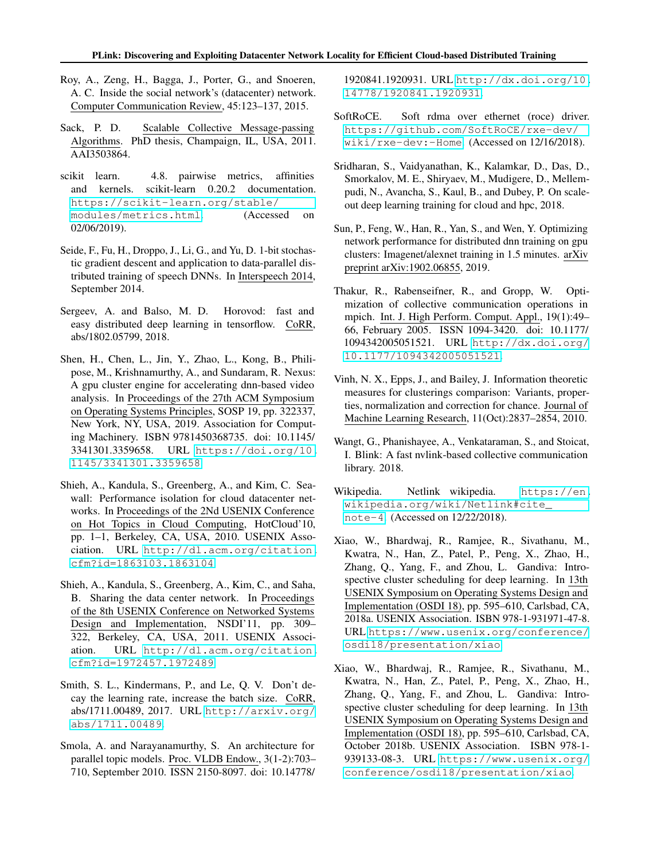- <span id="page-14-4"></span>Roy, A., Zeng, H., Bagga, J., Porter, G., and Snoeren, A. C. Inside the social network's (datacenter) network. Computer Communication Review, 45:123–137, 2015.
- <span id="page-14-6"></span>Sack, P. D. Scalable Collective Message-passing Algorithms. PhD thesis, Champaign, IL, USA, 2011. AAI3503864.
- <span id="page-14-12"></span>scikit learn. 4.8. pairwise metrics, affinities and kernels. scikit-learn 0.20.2 documentation. [https://scikit-learn.org/stable/](https://scikit-learn.org/stable/modules/metrics.html) [modules/metrics.html](https://scikit-learn.org/stable/modules/metrics.html). (Accessed on 02/06/2019).
- <span id="page-14-3"></span>Seide, F., Fu, H., Droppo, J., Li, G., and Yu, D. 1-bit stochastic gradient descent and application to data-parallel distributed training of speech DNNs. In Interspeech 2014, September 2014.
- <span id="page-14-8"></span>Sergeev, A. and Balso, M. D. Horovod: fast and easy distributed deep learning in tensorflow. CoRR, abs/1802.05799, 2018.
- <span id="page-14-17"></span>Shen, H., Chen, L., Jin, Y., Zhao, L., Kong, B., Philipose, M., Krishnamurthy, A., and Sundaram, R. Nexus: A gpu cluster engine for accelerating dnn-based video analysis. In Proceedings of the 27th ACM Symposium on Operating Systems Principles, SOSP 19, pp. 322337, New York, NY, USA, 2019. Association for Computing Machinery. ISBN 9781450368735. doi: 10.1145/ 3341301.3359658. URL [https://doi.org/10.](https://doi.org/10.1145/3341301.3359658) [1145/3341301.3359658](https://doi.org/10.1145/3341301.3359658).
- <span id="page-14-10"></span>Shieh, A., Kandula, S., Greenberg, A., and Kim, C. Seawall: Performance isolation for cloud datacenter networks. In Proceedings of the 2Nd USENIX Conference on Hot Topics in Cloud Computing, HotCloud'10, pp. 1–1, Berkeley, CA, USA, 2010. USENIX Association. URL [http://dl.acm.org/citation.](http://dl.acm.org/citation.cfm?id=1863103.1863104) [cfm?id=1863103.1863104](http://dl.acm.org/citation.cfm?id=1863103.1863104).
- <span id="page-14-11"></span>Shieh, A., Kandula, S., Greenberg, A., Kim, C., and Saha, B. Sharing the data center network. In Proceedings of the 8th USENIX Conference on Networked Systems Design and Implementation, NSDI'11, pp. 309– 322, Berkeley, CA, USA, 2011. USENIX Association. URL [http://dl.acm.org/citation.](http://dl.acm.org/citation.cfm?id=1972457.1972489) [cfm?id=1972457.1972489](http://dl.acm.org/citation.cfm?id=1972457.1972489).
- <span id="page-14-0"></span>Smith, S. L., Kindermans, P., and Le, Q. V. Don't decay the learning rate, increase the batch size. CoRR, abs/1711.00489, 2017. URL [http://arxiv.org/](http://arxiv.org/abs/1711.00489) [abs/1711.00489](http://arxiv.org/abs/1711.00489).
- <span id="page-14-5"></span>Smola, A. and Narayanamurthy, S. An architecture for parallel topic models. Proc. VLDB Endow., 3(1-2):703– 710, September 2010. ISSN 2150-8097. doi: 10.14778/

1920841.1920931. URL [http://dx.doi.org/10.](http://dx.doi.org/10.14778/1920841.1920931) [14778/1920841.1920931](http://dx.doi.org/10.14778/1920841.1920931).

- <span id="page-14-14"></span>SoftRoCE. Soft rdma over ethernet (roce) driver. [https://github.com/SoftRoCE/rxe-dev/](https://github.com/SoftRoCE/rxe-dev/wiki/rxe-dev:-Home) [wiki/rxe-dev:-Home](https://github.com/SoftRoCE/rxe-dev/wiki/rxe-dev:-Home). (Accessed on 12/16/2018).
- <span id="page-14-16"></span>Sridharan, S., Vaidyanathan, K., Kalamkar, D., Das, D., Smorkalov, M. E., Shiryaev, M., Mudigere, D., Mellempudi, N., Avancha, S., Kaul, B., and Dubey, P. On scaleout deep learning training for cloud and hpc, 2018.
- <span id="page-14-1"></span>Sun, P., Feng, W., Han, R., Yan, S., and Wen, Y. Optimizing network performance for distributed dnn training on gpu clusters: Imagenet/alexnet training in 1.5 minutes. arXiv preprint arXiv:1902.06855, 2019.
- <span id="page-14-7"></span>Thakur, R., Rabenseifner, R., and Gropp, W. Optimization of collective communication operations in mpich. Int. J. High Perform. Comput. Appl., 19(1):49– 66, February 2005. ISSN 1094-3420. doi: 10.1177/ 1094342005051521. URL [http://dx.doi.org/](http://dx.doi.org/10.1177/1094342005051521) [10.1177/1094342005051521](http://dx.doi.org/10.1177/1094342005051521).
- <span id="page-14-13"></span>Vinh, N. X., Epps, J., and Bailey, J. Information theoretic measures for clusterings comparison: Variants, properties, normalization and correction for chance. Journal of Machine Learning Research, 11(Oct):2837–2854, 2010.
- <span id="page-14-9"></span>Wangt, G., Phanishayee, A., Venkataraman, S., and Stoicat, I. Blink: A fast nvlink-based collective communication library. 2018.
- <span id="page-14-15"></span>Wikipedia. Netlink wikipedia. [https://en.](https://en.wikipedia.org/wiki/Netlink##cite_note-4) [wikipedia.org/wiki/Netlink#cite\\_](https://en.wikipedia.org/wiki/Netlink##cite_note-4) [note-4](https://en.wikipedia.org/wiki/Netlink##cite_note-4). (Accessed on 12/22/2018).
- <span id="page-14-2"></span>Xiao, W., Bhardwaj, R., Ramjee, R., Sivathanu, M., Kwatra, N., Han, Z., Patel, P., Peng, X., Zhao, H., Zhang, Q., Yang, F., and Zhou, L. Gandiva: Introspective cluster scheduling for deep learning. In 13th USENIX Symposium on Operating Systems Design and Implementation (OSDI 18), pp. 595–610, Carlsbad, CA, 2018a. USENIX Association. ISBN 978-1-931971-47-8. URL [https://www.usenix.org/conference/](https://www.usenix.org/conference/osdi18/presentation/xiao) [osdi18/presentation/xiao](https://www.usenix.org/conference/osdi18/presentation/xiao).
- <span id="page-14-18"></span>Xiao, W., Bhardwaj, R., Ramjee, R., Sivathanu, M., Kwatra, N., Han, Z., Patel, P., Peng, X., Zhao, H., Zhang, Q., Yang, F., and Zhou, L. Gandiva: Introspective cluster scheduling for deep learning. In 13th USENIX Symposium on Operating Systems Design and Implementation (OSDI 18), pp. 595–610, Carlsbad, CA, October 2018b. USENIX Association. ISBN 978-1- 939133-08-3. URL [https://www.usenix.org/](https://www.usenix.org/conference/osdi18/presentation/xiao) [conference/osdi18/presentation/xiao](https://www.usenix.org/conference/osdi18/presentation/xiao).